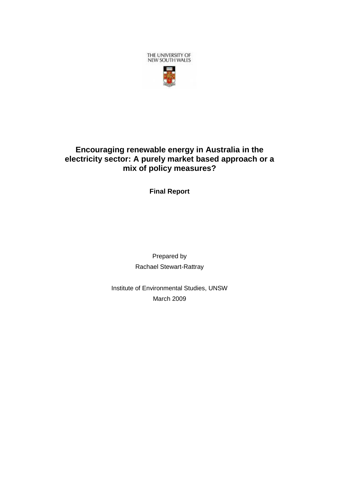

# **Encouraging renewable energy in Australia in the electricity sector: A purely market based approach or a mix of policy measures?**

**Final Report**

Prepared by Rachael Stewart-Rattray

Institute of Environmental Studies, UNSW March 2009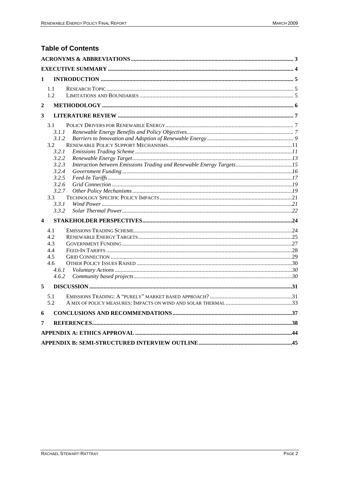# **Table of Contents**

| 1                       |       |  |  |  |  |  |
|-------------------------|-------|--|--|--|--|--|
|                         | 1.1   |  |  |  |  |  |
|                         | 1.2   |  |  |  |  |  |
| $\overline{2}$          |       |  |  |  |  |  |
| 3                       |       |  |  |  |  |  |
|                         | 3.1   |  |  |  |  |  |
|                         | 3.1.1 |  |  |  |  |  |
|                         | 3.1.2 |  |  |  |  |  |
|                         | 3.2   |  |  |  |  |  |
|                         | 3.2.1 |  |  |  |  |  |
|                         | 3.2.2 |  |  |  |  |  |
|                         | 3.2.3 |  |  |  |  |  |
|                         | 3.2.4 |  |  |  |  |  |
|                         | 3.2.5 |  |  |  |  |  |
|                         | 3.2.6 |  |  |  |  |  |
|                         | 3.2.7 |  |  |  |  |  |
|                         | 3.3   |  |  |  |  |  |
|                         | 3.3.1 |  |  |  |  |  |
|                         | 3.3.2 |  |  |  |  |  |
| $\overline{\mathbf{4}}$ |       |  |  |  |  |  |
|                         | 4.1   |  |  |  |  |  |
|                         | 4.2   |  |  |  |  |  |
|                         | 4.3   |  |  |  |  |  |
|                         | 4.4   |  |  |  |  |  |
|                         | 4.5   |  |  |  |  |  |
|                         | 4.6   |  |  |  |  |  |
|                         | 4.6.1 |  |  |  |  |  |
|                         | 4.6.2 |  |  |  |  |  |
| 5                       |       |  |  |  |  |  |
|                         | 5.1   |  |  |  |  |  |
|                         | 5.2   |  |  |  |  |  |
| 6                       |       |  |  |  |  |  |
| 7                       |       |  |  |  |  |  |
|                         |       |  |  |  |  |  |
|                         |       |  |  |  |  |  |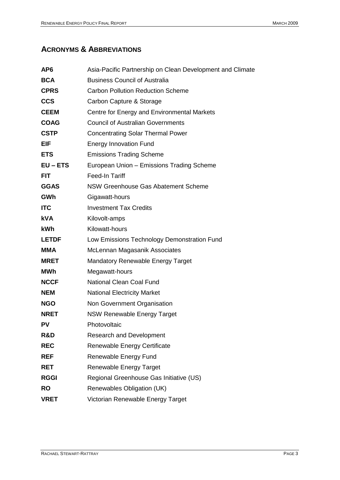# <span id="page-2-0"></span>**ACRONYMS & ABBREVIATIONS**

| AP <sub>6</sub> | Asia-Pacific Partnership on Clean Development and Climate |  |  |  |
|-----------------|-----------------------------------------------------------|--|--|--|
| <b>BCA</b>      | <b>Business Council of Australia</b>                      |  |  |  |
| <b>CPRS</b>     | <b>Carbon Pollution Reduction Scheme</b>                  |  |  |  |
| <b>CCS</b>      | Carbon Capture & Storage                                  |  |  |  |
| <b>CEEM</b>     | Centre for Energy and Environmental Markets               |  |  |  |
| <b>COAG</b>     | <b>Council of Australian Governments</b>                  |  |  |  |
| <b>CSTP</b>     | <b>Concentrating Solar Thermal Power</b>                  |  |  |  |
| EIF             | <b>Energy Innovation Fund</b>                             |  |  |  |
| <b>ETS</b>      | <b>Emissions Trading Scheme</b>                           |  |  |  |
| $EU - ETS$      | European Union - Emissions Trading Scheme                 |  |  |  |
| <b>FIT</b>      | Feed-In Tariff                                            |  |  |  |
| <b>GGAS</b>     | NSW Greenhouse Gas Abatement Scheme                       |  |  |  |
| GWh             | Gigawatt-hours                                            |  |  |  |
| <b>ITC</b>      | <b>Investment Tax Credits</b>                             |  |  |  |
| <b>kVA</b>      | Kilovolt-amps                                             |  |  |  |
| <b>kWh</b>      | Kilowatt-hours                                            |  |  |  |
| <b>LETDF</b>    | Low Emissions Technology Demonstration Fund               |  |  |  |
| <b>MMA</b>      | McLennan Magasanik Associates                             |  |  |  |
| <b>MRET</b>     | <b>Mandatory Renewable Energy Target</b>                  |  |  |  |
| MWh             | Megawatt-hours                                            |  |  |  |
| <b>NCCF</b>     | National Clean Coal Fund                                  |  |  |  |
| <b>NEM</b>      | <b>National Electricity Market</b>                        |  |  |  |
| <b>NGO</b>      | Non Government Organisation                               |  |  |  |
| <b>NRET</b>     | <b>NSW Renewable Energy Target</b>                        |  |  |  |
| PV              | Photovoltaic                                              |  |  |  |
| R&D             | <b>Research and Development</b>                           |  |  |  |
| <b>REC</b>      | Renewable Energy Certificate                              |  |  |  |
| <b>REF</b>      | Renewable Energy Fund                                     |  |  |  |
| <b>RET</b>      | <b>Renewable Energy Target</b>                            |  |  |  |
| <b>RGGI</b>     | Regional Greenhouse Gas Initiative (US)                   |  |  |  |
| <b>RO</b>       | Renewables Obligation (UK)                                |  |  |  |
| <b>VRET</b>     | Victorian Renewable Energy Target                         |  |  |  |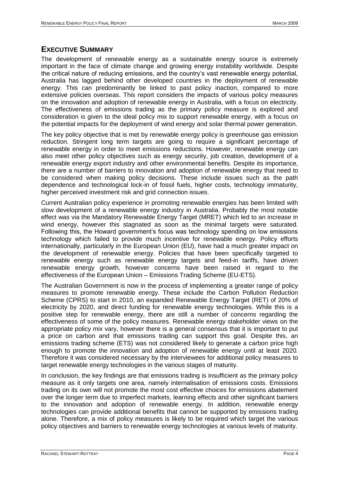## <span id="page-3-0"></span>**EXECUTIVE SUMMARY**

The development of renewable energy as a sustainable energy source is extremely important in the face of climate change and growing energy instability worldwide. Despite the critical nature of reducing emissions, and the country"s vast renewable energy potential, Australia has lagged behind other developed countries in the deployment of renewable energy. This can predominantly be linked to past policy inaction, compared to more extensive policies overseas. This report considers the impacts of various policy measures on the innovation and adoption of renewable energy in Australia, with a focus on electricity. The effectiveness of emissions trading as the primary policy measure is explored and consideration is given to the ideal policy mix to support renewable energy, with a focus on the potential impacts for the deployment of wind energy and solar thermal power generation.

The key policy objective that is met by renewable energy policy is greenhouse gas emission reduction. Stringent long term targets are going to require a significant percentage of renewable energy in order to meet emissions reductions. However, renewable energy can also meet other policy objectives such as energy security, job creation, development of a renewable energy export industry and other environmental benefits. Despite its importance, there are a number of barriers to innovation and adoption of renewable energy that need to be considered when making policy decisions. These include issues such as the path dependence and technological lock-in of fossil fuels, higher costs, technology immaturity, higher perceived investment risk and grid connection issues.

Current Australian policy experience in promoting renewable energies has been limited with slow development of a renewable energy industry in Australia. Probably the most notable effect was via the Mandatory Renewable Energy Target (MRET) which led to an increase in wind energy, however this stagnated as soon as the minimal targets were saturated. Following this, the Howard government"s focus was technology spending on low emissions technology which failed to provide much incentive for renewable energy. Policy efforts internationally, particularly in the European Union (EU), have had a much greater impact on the development of renewable energy. Policies that have been specifically targeted to renewable energy such as renewable energy targets and feed-in tariffs, have driven renewable energy growth, however concerns have been raised in regard to the effectiveness of the European Union – Emissions Trading Scheme (EU-ETS).

The Australian Government is now in the process of implementing a greater range of policy measures to promote renewable energy. These include the Carbon Pollution Reduction Scheme (CPRS) to start in 2010, an expanded Renewable Energy Target (RET) of 20% of electricity by 2020, and direct funding for renewable energy technologies. While this is a positive step for renewable energy, there are still a number of concerns regarding the effectiveness of some of the policy measures. Renewable energy stakeholder views on the appropriate policy mix vary, however there is a general consensus that it is important to put a price on carbon and that emissions trading can support this goal. Despite this, an emissions trading scheme (ETS) was not considered likely to generate a carbon price high enough to promote the innovation and adoption of renewable energy until at least 2020. Therefore it was considered necessary by the interviewees for additional policy measures to target renewable energy technologies in the various stages of maturity.

In conclusion, the key findings are that emissions trading is insufficient as the primary policy measure as it only targets one area, namely internalisation of emissions costs. Emissions trading on its own will not promote the most cost effective choices for emissions abatement over the longer term due to imperfect markets, learning effects and other significant barriers to the innovation and adoption of renewable energy. In addition, renewable energy technologies can provide additional benefits that cannot be supported by emissions trading alone. Therefore, a mix of policy measures is likely to be required which target the various policy objectives and barriers to renewable energy technologies at various levels of maturity.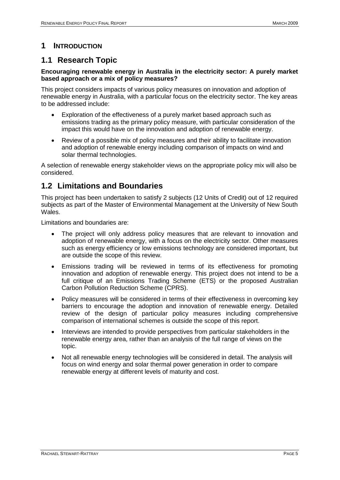# <span id="page-4-0"></span>**1 INTRODUCTION**

# <span id="page-4-1"></span>**1.1 Research Topic**

## **Encouraging renewable energy in Australia in the electricity sector: A purely market based approach or a mix of policy measures?**

This project considers impacts of various policy measures on innovation and adoption of renewable energy in Australia, with a particular focus on the electricity sector. The key areas to be addressed include:

- Exploration of the effectiveness of a purely market based approach such as emissions trading as the primary policy measure, with particular consideration of the impact this would have on the innovation and adoption of renewable energy.
- Review of a possible mix of policy measures and their ability to facilitate innovation and adoption of renewable energy including comparison of impacts on wind and solar thermal technologies.

A selection of renewable energy stakeholder views on the appropriate policy mix will also be considered.

# <span id="page-4-2"></span>**1.2 Limitations and Boundaries**

This project has been undertaken to satisfy 2 subjects (12 Units of Credit) out of 12 required subjects as part of the Master of Environmental Management at the University of New South Wales.

Limitations and boundaries are:

- The project will only address policy measures that are relevant to innovation and adoption of renewable energy, with a focus on the electricity sector. Other measures such as energy efficiency or low emissions technology are considered important, but are outside the scope of this review.
- Emissions trading will be reviewed in terms of its effectiveness for promoting innovation and adoption of renewable energy. This project does not intend to be a full critique of an Emissions Trading Scheme (ETS) or the proposed Australian Carbon Pollution Reduction Scheme (CPRS).
- Policy measures will be considered in terms of their effectiveness in overcoming key barriers to encourage the adoption and innovation of renewable energy. Detailed review of the design of particular policy measures including comprehensive comparison of international schemes is outside the scope of this report.
- Interviews are intended to provide perspectives from particular stakeholders in the renewable energy area, rather than an analysis of the full range of views on the topic.
- Not all renewable energy technologies will be considered in detail. The analysis will focus on wind energy and solar thermal power generation in order to compare renewable energy at different levels of maturity and cost.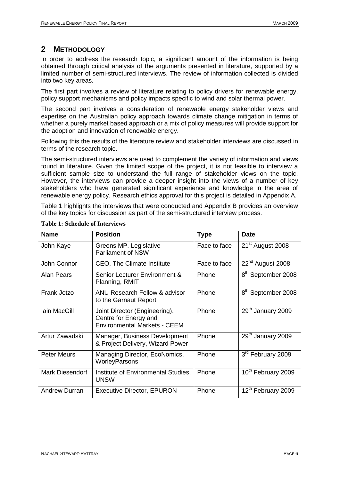# <span id="page-5-0"></span>**2 METHODOLOGY**

In order to address the research topic, a significant amount of the information is being obtained through critical analysis of the arguments presented in literature, supported by a limited number of semi-structured interviews. The review of information collected is divided into two key areas.

The first part involves a review of literature relating to policy drivers for renewable energy, policy support mechanisms and policy impacts specific to wind and solar thermal power.

The second part involves a consideration of renewable energy stakeholder views and expertise on the Australian policy approach towards climate change mitigation in terms of whether a purely market based approach or a mix of policy measures will provide support for the adoption and innovation of renewable energy.

Following this the results of the literature review and stakeholder interviews are discussed in terms of the research topic.

The semi-structured interviews are used to complement the variety of information and views found in literature. Given the limited scope of the project, it is not feasible to interview a sufficient sample size to understand the full range of stakeholder views on the topic. However, the interviews can provide a deeper insight into the views of a number of key stakeholders who have generated significant experience and knowledge in the area of renewable energy policy. Research ethics approval for this project is detailed in Appendix A.

[Table 1](#page-5-1) highlights the interviews that were conducted and Appendix B provides an overview of the key topics for discussion as part of the semi-structured interview process.

| <b>Name</b>          | <b>Position</b>                                                                               | <b>Type</b>  | <b>Date</b>                    |
|----------------------|-----------------------------------------------------------------------------------------------|--------------|--------------------------------|
| John Kaye            | Greens MP, Legislative<br><b>Parliament of NSW</b>                                            | Face to face | 21 <sup>st</sup> August 2008   |
| John Connor          | CEO, The Climate Institute                                                                    | Face to face | 22 <sup>nd</sup> August 2008   |
| Alan Pears           | Senior Lecturer Environment &<br>Planning, RMIT                                               | Phone        | 8 <sup>th</sup> September 2008 |
| Frank Jotzo          | <b>ANU Research Fellow &amp; advisor</b><br>to the Garnaut Report                             | Phone        | 8 <sup>th</sup> September 2008 |
| <b>lain MacGill</b>  | Joint Director (Engineering),<br>Centre for Energy and<br><b>Environmental Markets - CEEM</b> | Phone        | 29 <sup>th</sup> January 2009  |
| Artur Zawadski       | Manager, Business Development<br>& Project Delivery, Wizard Power                             | Phone        | 29th January 2009              |
| <b>Peter Meurs</b>   | Managing Director, EcoNomics,<br>WorleyParsons                                                | Phone        | 3rd February 2009              |
| Mark Diesendorf      | Institute of Environmental Studies,<br><b>UNSW</b>                                            | Phone        | 10 <sup>th</sup> February 2009 |
| <b>Andrew Durran</b> | <b>Executive Director, EPURON</b>                                                             | Phone        | 12th February 2009             |

### <span id="page-5-1"></span>**Table 1: Schedule of Interviews**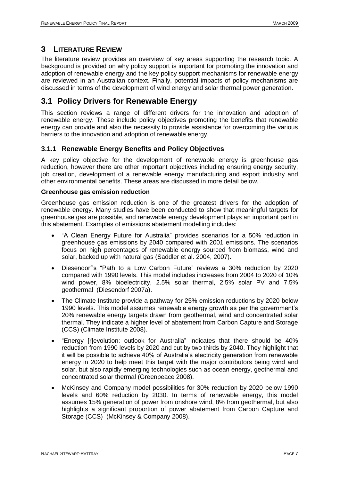## <span id="page-6-0"></span>**3 LITERATURE REVIEW**

The literature review provides an overview of key areas supporting the research topic. A background is provided on why policy support is important for promoting the innovation and adoption of renewable energy and the key policy support mechanisms for renewable energy are reviewed in an Australian context. Finally, potential impacts of policy mechanisms are discussed in terms of the development of wind energy and solar thermal power generation.

# <span id="page-6-1"></span>**3.1 Policy Drivers for Renewable Energy**

This section reviews a range of different drivers for the innovation and adoption of renewable energy. These include policy objectives promoting the benefits that renewable energy can provide and also the necessity to provide assistance for overcoming the various barriers to the innovation and adoption of renewable energy.

## <span id="page-6-2"></span>**3.1.1 Renewable Energy Benefits and Policy Objectives**

A key policy objective for the development of renewable energy is greenhouse gas reduction, however there are other important objectives including ensuring energy security, job creation, development of a renewable energy manufacturing and export industry and other environmental benefits. These areas are discussed in more detail below.

## **Greenhouse gas emission reduction**

Greenhouse gas emission reduction is one of the greatest drivers for the adoption of renewable energy. Many studies have been conducted to show that meaningful targets for greenhouse gas are possible, and renewable energy development plays an important part in this abatement. Examples of emissions abatement modelling includes:

- "A Clean Energy Future for Australia" provides scenarios for a 50% reduction in greenhouse gas emissions by 2040 compared with 2001 emissions. The scenarios focus on high percentages of renewable energy sourced from biomass, wind and solar, backed up with natural gas (Saddler et al. 2004, 2007).
- Diesendorf"s "Path to a Low Carbon Future" reviews a 30% reduction by 2020 compared with 1990 levels. This model includes increases from 2004 to 2020 of 10% wind power, 8% bioelectricity, 2.5% solar thermal, 2.5% solar PV and 7.5% geothermal (Diesendorf 2007a).
- The Climate Institute provide a pathway for 25% emission reductions by 2020 below 1990 levels. This model assumes renewable energy growth as per the government"s 20% renewable energy targets drawn from geothermal, wind and concentrated solar thermal. They indicate a higher level of abatement from Carbon Capture and Storage (CCS) (Climate Institute 2008).
- "Energy [r]evolution: outlook for Australia" indicates that there should be 40% reduction from 1990 levels by 2020 and cut by two thirds by 2040. They highlight that it will be possible to achieve 40% of Australia's electricity generation from renewable energy in 2020 to help meet this target with the major contributors being wind and solar, but also rapidly emerging technologies such as ocean energy, geothermal and concentrated solar thermal (Greenpeace 2008).
- McKinsey and Company model possibilities for 30% reduction by 2020 below 1990 levels and 60% reduction by 2030. In terms of renewable energy, this model assumes 15% generation of power from onshore wind, 8% from geothermal, but also highlights a significant proportion of power abatement from Carbon Capture and Storage (CCS) (McKinsey & Company 2008).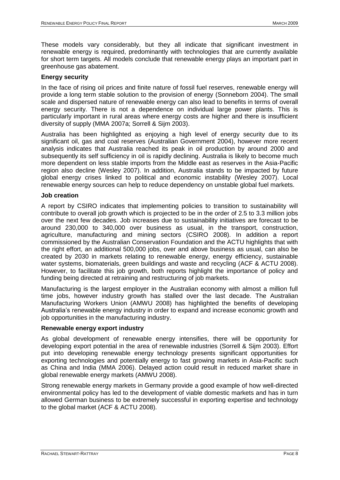These models vary considerably, but they all indicate that significant investment in renewable energy is required, predominantly with technologies that are currently available for short term targets. All models conclude that renewable energy plays an important part in greenhouse gas abatement.

### **Energy security**

In the face of rising oil prices and finite nature of fossil fuel reserves, renewable energy will provide a long term stable solution to the provision of energy (Sonneborn 2004). The small scale and dispersed nature of renewable energy can also lead to benefits in terms of overall energy security. There is not a dependence on individual large power plants. This is particularly important in rural areas where energy costs are higher and there is insufficient diversity of supply (MMA 2007a; Sorrell & Sijm 2003).

Australia has been highlighted as enjoying a high level of energy security due to its significant oil, gas and coal reserves (Australian Government 2004), however more recent analysis indicates that Australia reached its peak in oil production by around 2000 and subsequently its self sufficiency in oil is rapidly declining. Australia is likely to become much more dependent on less stable imports from the Middle east as reserves in the Asia-Pacific region also decline (Wesley 2007). In addition, Australia stands to be impacted by future global energy crises linked to political and economic instability (Wesley 2007). Local renewable energy sources can help to reduce dependency on unstable global fuel markets.

### **Job creation**

A report by CSIRO indicates that implementing policies to transition to sustainability will contribute to overall job growth which is projected to be in the order of 2.5 to 3.3 million jobs over the next few decades. Job increases due to sustainability initiatives are forecast to be around 230,000 to 340,000 over business as usual, in the transport, construction, agriculture, manufacturing and mining sectors (CSIRO 2008). In addition a report commissioned by the Australian Conservation Foundation and the ACTU highlights that with the right effort, an additional 500,000 jobs, over and above business as usual, can also be created by 2030 in markets relating to renewable energy, energy efficiency, sustainable water systems, biomaterials, green buildings and waste and recycling (ACF & ACTU 2008). However, to facilitate this job growth, both reports highlight the importance of policy and funding being directed at retraining and restructuring of job markets.

Manufacturing is the largest employer in the Australian economy with almost a million full time jobs, however industry growth has stalled over the last decade. The Australian Manufacturing Workers Union (AMWU 2008) has highlighted the benefits of developing Australia"s renewable energy industry in order to expand and increase economic growth and job opportunities in the manufacturing industry.

## **Renewable energy export industry**

As global development of renewable energy intensifies, there will be opportunity for developing export potential in the area of renewable industries (Sorrell & Sijm 2003). Effort put into developing renewable energy technology presents significant opportunities for exporting technologies and potentially energy to fast growing markets in Asia-Pacific such as China and India (MMA 2006). Delayed action could result in reduced market share in global renewable energy markets (AMWU 2008).

Strong renewable energy markets in Germany provide a good example of how well-directed environmental policy has led to the development of viable domestic markets and has in turn allowed German business to be extremely successful in exporting expertise and technology to the global market (ACF & ACTU 2008).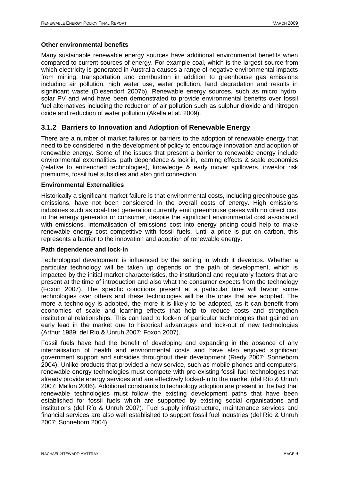### **Other environmental benefits**

Many sustainable renewable energy sources have additional environmental benefits when compared to current sources of energy. For example coal, which is the largest source from which electricity is generated in Australia causes a range of negative environmental impacts from mining, transportation and combustion in addition to greenhouse gas emissions including air pollution, high water use, water pollution, land degradation and results in significant waste (Diesendorf 2007b). Renewable energy sources, such as micro hydro, solar PV and wind have been demonstrated to provide environmental benefits over fossil fuel alternatives including the reduction of air pollution such as sulphur dioxide and nitrogen oxide and reduction of water pollution (Akella et al. 2009).

## <span id="page-8-0"></span>**3.1.2 Barriers to Innovation and Adoption of Renewable Energy**

There are a number of market failures or barriers to the adoption of renewable energy that need to be considered in the development of policy to encourage innovation and adoption of renewable energy. Some of the issues that present a barrier to renewable energy include environmental externalities, path dependence & lock in, learning effects & scale economies (relative to entrenched technologies), knowledge & early mover spillovers, investor risk premiums, fossil fuel subsidies and also grid connection.

### **Environmental Externalities**

Historically a significant market failure is that environmental costs, including greenhouse gas emissions, have not been considered in the overall costs of energy. High emissions industries such as coal-fired generation currently emit greenhouse gases with no direct cost to the energy generator or consumer, despite the significant environmental cost associated with emissions. Internalisation of emissions cost into energy pricing could help to make renewable energy cost competitive with fossil fuels. Until a price is put on carbon, this represents a barrier to the innovation and adoption of renewable energy.

#### **Path dependence and lock-in**

Technological development is influenced by the setting in which it develops. Whether a particular technology will be taken up depends on the path of development, which is impacted by the initial market characteristics, the institutional and regulatory factors that are present at the time of introduction and also what the consumer expects from the technology (Foxon 2007). The specific conditions present at a particular time will favour some technologies over others and these technologies will be the ones that are adopted. The more a technology is adopted, the more it is likely to be adopted, as it can benefit from economies of scale and learning effects that help to reduce costs and strengthen institutional relationships. This can lead to lock-in of particular technologies that gained an early lead in the market due to historical advantages and lock-out of new technologies (Arthur 1989; del Río & Unruh 2007; Foxon 2007).

Fossil fuels have had the benefit of developing and expanding in the absence of any internalisation of health and environmental costs and have also enjoyed significant government support and subsidies throughout their development (Riedy 2007; Sonneborn 2004). Unlike products that provided a new service, such as mobile phones and computers, renewable energy technologies must compete with pre-existing fossil fuel technologies that already provide energy services and are effectively locked-in to the market (del Río & Unruh 2007; Mallon 2006). Additional constraints to technology adoption are present in the fact that renewable technologies must follow the existing development paths that have been established for fossil fuels which are supported by existing social organisations and institutions (del Río & Unruh 2007). Fuel supply infrastructure, maintenance services and financial services are also well established to support fossil fuel industries (del Río & Unruh 2007; Sonneborn 2004).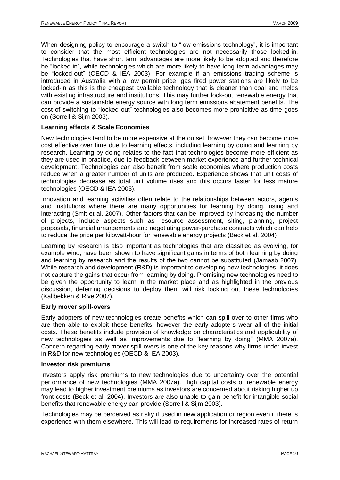When designing policy to encourage a switch to "low emissions technology", it is important to consider that the most efficient technologies are not necessarily those locked-in. Technologies that have short term advantages are more likely to be adopted and therefore be "locked-in", while technologies which are more likely to have long term advantages may be "locked-out" (OECD & IEA 2003). For example if an emissions trading scheme is introduced in Australia with a low permit price, gas fired power stations are likely to be locked-in as this is the cheapest available technology that is cleaner than coal and melds with existing infrastructure and institutions. This may further lock-out renewable energy that can provide a sustainable energy source with long term emissions abatement benefits. The cost of switching to "locked out" technologies also becomes more prohibitive as time goes on (Sorrell & Sijm 2003).

## **Learning effects & Scale Economies**

New technologies tend to be more expensive at the outset, however they can become more cost effective over time due to learning effects, including learning by doing and learning by research. Learning by doing relates to the fact that technologies become more efficient as they are used in practice, due to feedback between market experience and further technical development. Technologies can also benefit from scale economies where production costs reduce when a greater number of units are produced. Experience shows that unit costs of technologies decrease as total unit volume rises and this occurs faster for less mature technologies (OECD & IEA 2003).

Innovation and learning activities often relate to the relationships between actors, agents and institutions where there are many opportunities for learning by doing, using and interacting (Smit et al. 2007). Other factors that can be improved by increasing the number of projects, include aspects such as resource assessment, siting, planning, project proposals, financial arrangements and negotiating power-purchase contracts which can help to reduce the price per kilowatt-hour for renewable energy projects (Beck et al. 2004)

Learning by research is also important as technologies that are classified as evolving, for example wind, have been shown to have significant gains in terms of both learning by doing and learning by research and the results of the two cannot be substituted (Jamasb 2007). While research and development (R&D) is important to developing new technologies, it does not capture the gains that occur from learning by doing. Promising new technologies need to be given the opportunity to learn in the market place and as highlighted in the previous discussion, deferring decisions to deploy them will risk locking out these technologies (Kallbekken & Rive 2007).

## **Early mover spill-overs**

Early adopters of new technologies create benefits which can spill over to other firms who are then able to exploit these benefits, however the early adopters wear all of the initial costs. These benefits include provision of knowledge on characteristics and applicability of new technologies as well as improvements due to "learning by doing" (MMA 2007a). Concern regarding early mover spill-overs is one of the key reasons why firms under invest in R&D for new technologies (OECD & IEA 2003).

#### **Investor risk premiums**

Investors apply risk premiums to new technologies due to uncertainty over the potential performance of new technologies (MMA 2007a). High capital costs of renewable energy may lead to higher investment premiums as investors are concerned about risking higher up front costs (Beck et al. 2004). Investors are also unable to gain benefit for intangible social benefits that renewable energy can provide (Sorrell & Sijm 2003).

Technologies may be perceived as risky if used in new application or region even if there is experience with them elsewhere. This will lead to requirements for increased rates of return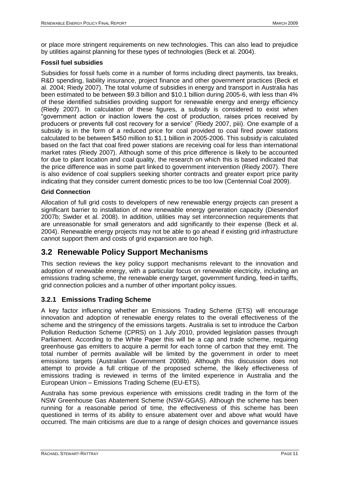or place more stringent requirements on new technologies. This can also lead to prejudice by utilities against planning for these types of technologies (Beck et al. 2004).

## **Fossil fuel subsidies**

Subsidies for fossil fuels come in a number of forms including direct payments, tax breaks, R&D spending, liability insurance, project finance and other government practices (Beck et al. 2004; Riedy 2007). The total volume of subsidies in energy and transport in Australia has been estimated to be between \$9.3 billion and \$10.1 billion during 2005-6, with less than 4% of these identified subsidies providing support for renewable energy and energy efficiency (Riedy 2007). In calculation of these figures, a subsidy is considered to exist when "government action or inaction lowers the cost of production, raises prices received by producers or prevents full cost recovery for a service" (Riedy 2007, piii). One example of a subsidy is in the form of a reduced price for coal provided to coal fired power stations calculated to be between \$450 million to \$1.1 billion in 2005-2006. This subsidy is calculated based on the fact that coal fired power stations are receiving coal for less than international market rates (Riedy 2007). Although some of this price difference is likely to be accounted for due to plant location and coal quality, the research on which this is based indicated that the price difference was in some part linked to government intervention (Riedy 2007). There is also evidence of coal suppliers seeking shorter contracts and greater export price parity indicating that they consider current domestic prices to be too low (Centennial Coal 2009).

## **Grid Connection**

Allocation of full grid costs to developers of new renewable energy projects can present a significant barrier to installation of new renewable energy generation capacity (Diesendorf 2007b; Swider et al. 2008). In addition, utilities may set interconnection requirements that are unreasonable for small generators and add significantly to their expense (Beck et al. 2004). Renewable energy projects may not be able to go ahead if existing grid infrastructure cannot support them and costs of grid expansion are too high.

# <span id="page-10-0"></span>**3.2 Renewable Policy Support Mechanisms**

This section reviews the key policy support mechanisms relevant to the innovation and adoption of renewable energy, with a particular focus on renewable electricity, including an emissions trading scheme, the renewable energy target, government funding, feed-in tariffs, grid connection policies and a number of other important policy issues.

## <span id="page-10-1"></span>**3.2.1 Emissions Trading Scheme**

A key factor influencing whether an Emissions Trading Scheme (ETS) will encourage innovation and adoption of renewable energy relates to the overall effectiveness of the scheme and the stringency of the emissions targets. Australia is set to introduce the Carbon Pollution Reduction Scheme (CPRS) on 1 July 2010, provided legislation passes through Parliament. According to the White Paper this will be a cap and trade scheme, requiring greenhouse gas emitters to acquire a permit for each tonne of carbon that they emit. The total number of permits available will be limited by the government in order to meet emissions targets (Australian Government 2008b). Although this discussion does not attempt to provide a full critique of the proposed scheme, the likely effectiveness of emissions trading is reviewed in terms of the limited experience in Australia and the European Union – Emissions Trading Scheme (EU-ETS).

Australia has some previous experience with emissions credit trading in the form of the NSW Greenhouse Gas Abatement Scheme (NSW-GGAS). Although the scheme has been running for a reasonable period of time, the effectiveness of this scheme has been questioned in terms of its ability to ensure abatement over and above what would have occurred. The main criticisms are due to a range of design choices and governance issues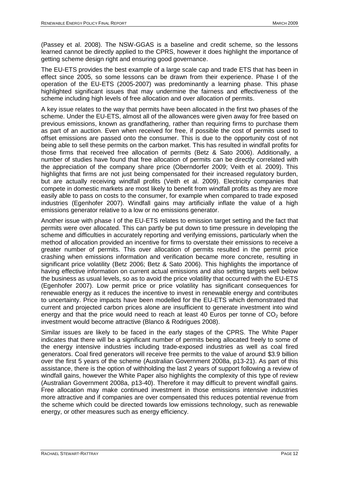(Passey et al. 2008). The NSW-GGAS is a baseline and credit scheme, so the lessons learned cannot be directly applied to the CPRS, however it does highlight the importance of getting scheme design right and ensuring good governance.

The EU-ETS provides the best example of a large scale cap and trade ETS that has been in effect since 2005, so some lessons can be drawn from their experience. Phase I of the operation of the EU-ETS (2005-2007) was predominantly a learning phase. This phase highlighted significant issues that may undermine the fairness and effectiveness of the scheme including high levels of free allocation and over allocation of permits.

A key issue relates to the way that permits have been allocated in the first two phases of the scheme. Under the EU-ETS, almost all of the allowances were given away for free based on previous emissions, known as grandfathering, rather than requiring firms to purchase them as part of an auction. Even when received for free, if possible the cost of permits used to offset emissions are passed onto the consumer. This is due to the opportunity cost of not being able to sell these permits on the carbon market. This has resulted in windfall profits for those firms that received free allocation of permits (Betz & Sato 2006). Additionally, a number of studies have found that free allocation of permits can be directly correlated with the appreciation of the company share price (Oberndorfer 2009; Veith et al. 2009). This highlights that firms are not just being compensated for their increased regulatory burden, but are actually receiving windfall profits (Veith et al. 2009). Electricity companies that compete in domestic markets are most likely to benefit from windfall profits as they are more easily able to pass on costs to the consumer, for example when compared to trade exposed industries (Egenhofer 2007). Windfall gains may artificially inflate the value of a high emissions generator relative to a low or no emissions generator.

Another issue with phase I of the EU-ETS relates to emission target setting and the fact that permits were over allocated. This can partly be put down to time pressure in developing the scheme and difficulties in accurately reporting and verifying emissions, particularly when the method of allocation provided an incentive for firms to overstate their emissions to receive a greater number of permits. This over allocation of permits resulted in the permit price crashing when emissions information and verification became more concrete, resulting in significant price volatility (Betz 2006; Betz & Sato 2006). This highlights the importance of having effective information on current actual emissions and also setting targets well below the business as usual levels, so as to avoid the price volatility that occurred with the EU-ETS (Egenhofer 2007). Low permit price or price volatility has significant consequences for renewable energy as it reduces the incentive to invest in renewable energy and contributes to uncertainty. Price impacts have been modelled for the EU-ETS which demonstrated that current and projected carbon prices alone are insufficient to generate investment into wind energy and that the price would need to reach at least 40 Euros per tonne of  $CO<sub>2</sub>$  before investment would become attractive (Blanco & Rodrigues 2008).

Similar issues are likely to be faced in the early stages of the CPRS. The White Paper indicates that there will be a significant number of permits being allocated freely to some of the energy intensive industries including trade-exposed industries as well as coal fired generators. Coal fired generators will receive free permits to the value of around \$3.9 billion over the first 5 years of the scheme (Australian Government 2008a, p13-21). As part of this assistance, there is the option of withholding the last 2 years of support following a review of windfall gains, however the White Paper also highlights the complexity of this type of review (Australian Government 2008a, p13-40). Therefore it may difficult to prevent windfall gains. Free allocation may make continued investment in those emissions intensive industries more attractive and if companies are over compensated this reduces potential revenue from the scheme which could be directed towards low emissions technology, such as renewable energy, or other measures such as energy efficiency.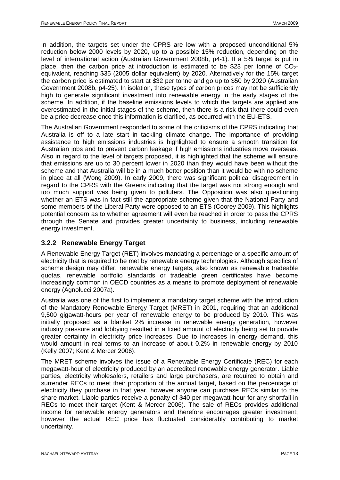In addition, the targets set under the CPRS are low with a proposed unconditional 5% reduction below 2000 levels by 2020, up to a possible 15% reduction, depending on the level of international action (Australian Government 2008b, p4-1). If a 5% target is put in place, then the carbon price at introduction is estimated to be \$23 per tonne of  $CO<sub>2</sub>$ equivalent, reaching \$35 (2005 dollar equivalent) by 2020. Alternatively for the 15% target the carbon price is estimated to start at \$32 per tonne and go up to \$50 by 2020 (Australian Government 2008b, p4-25). In isolation, these types of carbon prices may not be sufficiently high to generate significant investment into renewable energy in the early stages of the scheme. In addition, if the baseline emissions levels to which the targets are applied are overestimated in the initial stages of the scheme, then there is a risk that there could even be a price decrease once this information is clarified, as occurred with the EU-ETS.

The Australian Government responded to some of the criticisms of the CPRS indicating that Australia is off to a late start in tackling climate change. The importance of providing assistance to high emissions industries is highlighted to ensure a smooth transition for Australian jobs and to prevent carbon leakage if high emissions industries move overseas. Also in regard to the level of targets proposed, it is highlighted that the scheme will ensure that emissions are up to 30 percent lower in 2020 than they would have been without the scheme and that Australia will be in a much better position than it would be with no scheme in place at all (Wong 2009). In early 2009, there was significant political disagreement in regard to the CPRS with the Greens indicating that the target was not strong enough and too much support was being given to polluters. The Opposition was also questioning whether an ETS was in fact still the appropriate scheme given that the National Party and some members of the Liberal Party were opposed to an ETS (Coorey 2009). This highlights potential concern as to whether agreement will even be reached in order to pass the CPRS through the Senate and provides greater uncertainty to business, including renewable energy investment.

## <span id="page-12-0"></span>**3.2.2 Renewable Energy Target**

A Renewable Energy Target (RET) involves mandating a percentage or a specific amount of electricity that is required to be met by renewable energy technologies. Although specifics of scheme design may differ, renewable energy targets, also known as renewable tradeable quotas, renewable portfolio standards or tradeable green certificates have become increasingly common in OECD countries as a means to promote deployment of renewable energy (Agnolucci 2007a).

Australia was one of the first to implement a mandatory target scheme with the introduction of the Mandatory Renewable Energy Target (MRET) in 2001, requiring that an additional 9,500 gigawatt-hours per year of renewable energy to be produced by 2010. This was initially proposed as a blanket 2% increase in renewable energy generation, however industry pressure and lobbying resulted in a fixed amount of electricity being set to provide greater certainty in electricity price increases. Due to increases in energy demand, this would amount in real terms to an increase of about 0.2% in renewable energy by 2010 (Kelly 2007; Kent & Mercer 2006).

The MRET scheme involves the issue of a Renewable Energy Certificate (REC) for each megawatt-hour of electricity produced by an accredited renewable energy generator. Liable parties, electricity wholesalers, retailers and large purchasers, are required to obtain and surrender RECs to meet their proportion of the annual target, based on the percentage of electricity they purchase in that year, however anyone can purchase RECs similar to the share market. Liable parties receive a penalty of \$40 per megawatt-hour for any shortfall in RECs to meet their target (Kent & Mercer 2006). The sale of RECs provides additional income for renewable energy generators and therefore encourages greater investment; however the actual REC price has fluctuated considerably contributing to market uncertainty.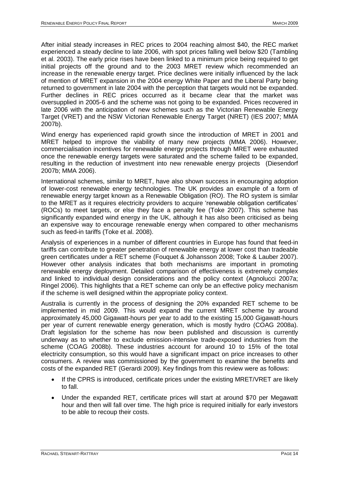After initial steady increases in REC prices to 2004 reaching almost \$40, the REC market experienced a steady decline to late 2006, with spot prices falling well below \$20 (Tambling et al. 2003). The early price rises have been linked to a minimum price being required to get initial projects off the ground and to the 2003 MRET review which recommended an increase in the renewable energy target. Price declines were initially influenced by the lack of mention of MRET expansion in the 2004 energy White Paper and the Liberal Party being returned to government in late 2004 with the perception that targets would not be expanded. Further declines in REC prices occurred as it became clear that the market was oversupplied in 2005-6 and the scheme was not going to be expanded. Prices recovered in late 2006 with the anticipation of new schemes such as the Victorian Renewable Energy Target (VRET) and the NSW Victorian Renewable Energy Target (NRET) (IES 2007; MMA 2007b).

Wind energy has experienced rapid growth since the introduction of MRET in 2001 and MRET helped to improve the viability of many new projects (MMA 2006). However, commercialisation incentives for renewable energy projects through MRET were exhausted once the renewable energy targets were saturated and the scheme failed to be expanded, resulting in the reduction of investment into new renewable energy projects (Diesendorf 2007b; MMA 2006).

International schemes, similar to MRET, have also shown success in encouraging adoption of lower-cost renewable energy technologies. The UK provides an example of a form of renewable energy target known as a Renewable Obligation (RO). The RO system is similar to the MRET as it requires electricity providers to acquire "renewable obligation certificates" (ROCs) to meet targets, or else they face a penalty fee (Toke 2007). This scheme has significantly expanded wind energy in the UK, although it has also been criticised as being an expensive way to encourage renewable energy when compared to other mechanisms such as feed-in tariffs (Toke et al. 2008).

Analysis of experiences in a number of different countries in Europe has found that feed-in tariffs can contribute to greater penetration of renewable energy at lower cost than tradeable green certificates under a RET scheme (Fouquet & Johansson 2008; Toke & Lauber 2007). However other analysis indicates that both mechanisms are important in promoting renewable energy deployment. Detailed comparison of effectiveness is extremely complex and linked to individual design considerations and the policy context (Agnolucci 2007a; Ringel 2006). This highlights that a RET scheme can only be an effective policy mechanism if the scheme is well designed within the appropriate policy context.

Australia is currently in the process of designing the 20% expanded RET scheme to be implemented in mid 2009. This would expand the current MRET scheme by around approximately 45,000 Gigawatt-hours per year to add to the existing 15,000 Gigawatt-hours per year of current renewable energy generation, which is mostly hydro (COAG 2008a). Draft legislation for the scheme has now been published and discussion is currently underway as to whether to exclude emission-intensive trade-exposed industries from the scheme (COAG 2008b). These industries account for around 10 to 15% of the total electricity consumption, so this would have a significant impact on price increases to other consumers. A review was commissioned by the government to examine the benefits and costs of the expanded RET (Gerardi 2009). Key findings from this review were as follows:

- If the CPRS is introduced, certificate prices under the existing MRET/VRET are likely to fall.
- Under the expanded RET, certificate prices will start at around \$70 per Megawatt hour and then will fall over time. The high price is required initially for early investors to be able to recoup their costs.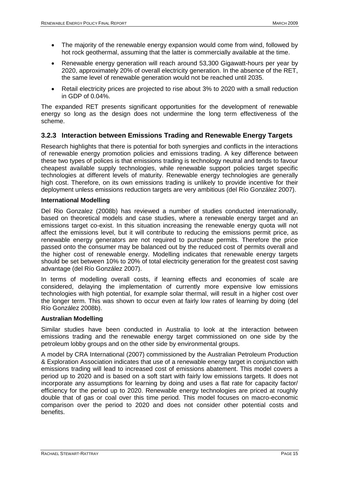- The majority of the renewable energy expansion would come from wind, followed by hot rock geothermal, assuming that the latter is commercially available at the time.
- Renewable energy generation will reach around 53,300 Gigawatt-hours per year by 2020, approximately 20% of overall electricity generation. In the absence of the RET, the same level of renewable generation would not be reached until 2035.
- Retail electricity prices are projected to rise about 3% to 2020 with a small reduction in GDP of 0.04%.

The expanded RET presents significant opportunities for the development of renewable energy so long as the design does not undermine the long term effectiveness of the scheme.

## <span id="page-14-0"></span>**3.2.3 Interaction between Emissions Trading and Renewable Energy Targets**

Research highlights that there is potential for both synergies and conflicts in the interactions of renewable energy promotion policies and emissions trading. A key difference between these two types of polices is that emissions trading is technology neutral and tends to favour cheapest available supply technologies, while renewable support policies target specific technologies at different levels of maturity. Renewable energy technologies are generally high cost. Therefore, on its own emissions trading is unlikely to provide incentive for their deployment unless emissions reduction targets are very ambitious (del Río González 2007).

### **International Modelling**

Del Rio Gonzalez (2008b) has reviewed a number of studies conducted internationally, based on theoretical models and case studies, where a renewable energy target and an emissions target co-exist. In this situation increasing the renewable energy quota will not affect the emissions level, but it will contribute to reducing the emissions permit price, as renewable energy generators are not required to purchase permits. Therefore the price passed onto the consumer may be balanced out by the reduced cost of permits overall and the higher cost of renewable energy. Modelling indicates that renewable energy targets should be set between 10% to 20% of total electricity generation for the greatest cost saving advantage (del Río González 2007).

In terms of modelling overall costs, if learning effects and economies of scale are considered, delaying the implementation of currently more expensive low emissions technologies with high potential, for example solar thermal, will result in a higher cost over the longer term. This was shown to occur even at fairly low rates of learning by doing (del Río González 2008b).

## **Australian Modelling**

Similar studies have been conducted in Australia to look at the interaction between emissions trading and the renewable energy target commissioned on one side by the petroleum lobby groups and on the other side by environmental groups.

A model by CRA International (2007) commissioned by the Australian Petroleum Production & Exploration Association indicates that use of a renewable energy target in conjunction with emissions trading will lead to increased cost of emissions abatement. This model covers a period up to 2020 and is based on a soft start with fairly low emissions targets. It does not incorporate any assumptions for learning by doing and uses a flat rate for capacity factor/ efficiency for the period up to 2020. Renewable energy technologies are priced at roughly double that of gas or coal over this time period. This model focuses on macro-economic comparison over the period to 2020 and does not consider other potential costs and benefits.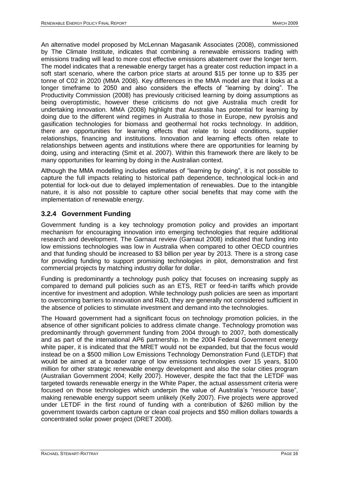An alternative model proposed by McLennan Magasanik Associates (2008), commissioned by The Climate Institute, indicates that combining a renewable emissions trading with emissions trading will lead to more cost effective emissions abatement over the longer term. The model indicates that a renewable energy target has a greater cost reduction impact in a soft start scenario, where the carbon price starts at around \$15 per tonne up to \$35 per tonne of C02 in 2020 (MMA 2008). Key differences in the MMA model are that it looks at a longer timeframe to 2050 and also considers the effects of "learning by doing". The Productivity Commission (2008) has previously criticised learning by doing assumptions as being overoptimistic, however these criticisms do not give Australia much credit for undertaking innovation. MMA (2008) highlight that Australia has potential for learning by doing due to the different wind regimes in Australia to those in Europe, new pyrolsis and gasification technologies for biomass and geothermal hot rocks technology. In addition, there are opportunities for learning effects that relate to local conditions, supplier relationships, financing and institutions. Innovation and learning effects often relate to relationships between agents and institutions where there are opportunities for learning by doing, using and interacting (Smit et al. 2007). Within this framework there are likely to be many opportunities for learning by doing in the Australian context.

Although the MMA modelling includes estimates of "learning by doing", it is not possible to capture the full impacts relating to historical path dependence, technological lock-in and potential for lock-out due to delayed implementation of renewables. Due to the intangible nature, it is also not possible to capture other social benefits that may come with the implementation of renewable energy.

## <span id="page-15-0"></span>**3.2.4 Government Funding**

Government funding is a key technology promotion policy and provides an important mechanism for encouraging innovation into emerging technologies that require additional research and development. The Garnaut review (Garnaut 2008) indicated that funding into low emissions technologies was low in Australia when compared to other OECD countries and that funding should be increased to \$3 billion per year by 2013. There is a strong case for providing funding to support promising technologies in pilot, demonstration and first commercial projects by matching industry dollar for dollar.

Funding is predominantly a technology push policy that focuses on increasing supply as compared to demand pull policies such as an ETS, RET or feed-in tariffs which provide incentive for investment and adoption. While technology push policies are seen as important to overcoming barriers to innovation and R&D, they are generally not considered sufficient in the absence of policies to stimulate investment and demand into the technologies.

The Howard government had a significant focus on technology promotion policies, in the absence of other significant policies to address climate change. Technology promotion was predominantly through government funding from 2004 through to 2007, both domestically and as part of the international AP6 partnership. In the 2004 Federal Government energy white paper, it is indicated that the MRET would not be expanded, but that the focus would instead be on a \$500 million Low Emissions Technology Demonstration Fund (LETDF) that would be aimed at a broader range of low emissions technologies over 15 years, \$100 million for other strategic renewable energy development and also the solar cities program (Australian Government 2004; Kelly 2007). However, despite the fact that the LETDF was targeted towards renewable energy in the White Paper, the actual assessment criteria were focused on those technologies which underpin the value of Australia's "resource base". making renewable energy support seem unlikely (Kelly 2007). Five projects were approved under LETDF in the first round of funding with a contribution of \$260 million by the government towards carbon capture or clean coal projects and \$50 million dollars towards a concentrated solar power project (DRET 2008).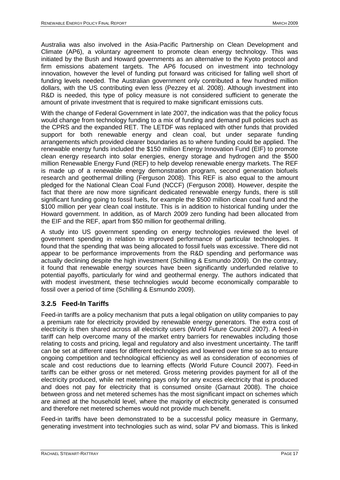Australia was also involved in the Asia-Pacific Partnership on Clean Development and Climate (AP6), a voluntary agreement to promote clean energy technology. This was initiated by the Bush and Howard governments as an alternative to the Kyoto protocol and firm emissions abatement targets. The AP6 focused on investment into technology innovation, however the level of funding put forward was criticised for falling well short of funding levels needed. The Australian government only contributed a few hundred million dollars, with the US contributing even less (Pezzey et al. 2008). Although investment into R&D is needed, this type of policy measure is not considered sufficient to generate the amount of private investment that is required to make significant emissions cuts.

With the change of Federal Government in late 2007, the indication was that the policy focus would change from technology funding to a mix of funding and demand pull policies such as the CPRS and the expanded RET. The LETDF was replaced with other funds that provided support for both renewable energy and clean coal, but under separate funding arrangements which provided clearer boundaries as to where funding could be applied. The renewable energy funds included the \$150 million Energy Innovation Fund (EIF) to promote clean energy research into solar energies, energy storage and hydrogen and the \$500 million Renewable Energy Fund (REF) to help develop renewable energy markets. The REF is made up of a renewable energy demonstration program, second generation biofuels research and geothermal drilling (Ferguson 2008). This REF is also equal to the amount pledged for the National Clean Coal Fund (NCCF) (Ferguson 2008). However, despite the fact that there are now more significant dedicated renewable energy funds, there is still significant funding going to fossil fuels, for example the \$500 million clean coal fund and the \$100 million per year clean coal institute. This is in addition to historical funding under the Howard government. In addition, as of March 2009 zero funding had been allocated from the EIF and the REF, apart from \$50 million for geothermal drilling.

A study into US government spending on energy technologies reviewed the level of government spending in relation to improved performance of particular technologies. It found that the spending that was being allocated to fossil fuels was excessive. There did not appear to be performance improvements from the R&D spending and performance was actually declining despite the high investment (Schilling & Esmundo 2009). On the contrary, it found that renewable energy sources have been significantly underfunded relative to potential payoffs, particularly for wind and geothermal energy. The authors indicated that with modest investment, these technologies would become economically comparable to fossil over a period of time (Schilling & Esmundo 2009).

## <span id="page-16-0"></span>**3.2.5 Feed-In Tariffs**

Feed-in tariffs are a policy mechanism that puts a legal obligation on utility companies to pay a premium rate for electricity provided by renewable energy generators. The extra cost of electricity is then shared across all electricity users (World Future Council 2007). A feed-in tariff can help overcome many of the market entry barriers for renewables including those relating to costs and pricing, legal and regulatory and also investment uncertainty. The tariff can be set at different rates for different technologies and lowered over time so as to ensure ongoing competition and technological efficiency as well as consideration of economies of scale and cost reductions due to learning effects (World Future Council 2007). Feed-in tariffs can be either gross or net metered. Gross metering provides payment for all of the electricity produced, while net metering pays only for any excess electricity that is produced and does not pay for electricity that is consumed onsite (Garnaut 2008). The choice between gross and net metered schemes has the most significant impact on schemes which are aimed at the household level, where the majority of electricity generated is consumed and therefore net metered schemes would not provide much benefit.

Feed-in tariffs have been demonstrated to be a successful policy measure in Germany, generating investment into technologies such as wind, solar PV and biomass. This is linked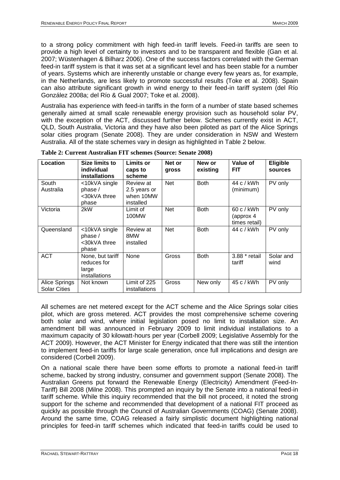to a strong policy commitment with high feed-in tariff levels. Feed-in tariffs are seen to provide a high level of certainty to investors and to be transparent and flexible (Gan et al. 2007; Wüstenhagen & Bilharz 2006). One of the success factors correlated with the German feed-in tariff system is that it was set at a significant level and has been stable for a number of years. Systems which are inherently unstable or change every few years as, for example, in the Netherlands, are less likely to promote successful results (Toke et al. 2008). Spain can also attribute significant growth in wind energy to their feed-in tariff system (del Río González 2008a; del Río & Gual 2007; Toke et al. 2008).

Australia has experience with feed-in tariffs in the form of a number of state based schemes generally aimed at small scale renewable energy provision such as household solar PV, with the exception of the ACT, discussed further below. Schemes currently exist in ACT, QLD, South Australia, Victoria and they have also been piloted as part of the Alice Springs solar cities program (Senate 2008). They are under consideration in NSW and Western Australia. All of the state schemes vary in design as highlighted in Table 2 below.

| Location                             | Size limits to<br>individual<br>installations             | Limits or<br>caps to<br>scheme                      | Net or<br>gross | New or<br>existing | Value of<br><b>FIT</b>                 | Eligible<br>sources |
|--------------------------------------|-----------------------------------------------------------|-----------------------------------------------------|-----------------|--------------------|----------------------------------------|---------------------|
| South<br>Australia                   | <10kVA single<br>phase $/$<br><30kVA three<br>phase       | Review at<br>2.5 years or<br>when 10MW<br>installed | <b>Net</b>      | <b>Both</b>        | 44 c / kWh<br>(minimum)                | PV only             |
| Victoria                             | 2kW                                                       | Limit of<br>100MW                                   | <b>Net</b>      | <b>Both</b>        | 60c/kWh<br>(approx 4)<br>times retail) | PV only             |
| Queensland                           | <10kVA single<br>phase $/$<br><30kVA three<br>phase       | Review at<br>8MW<br>installed                       | <b>Net</b>      | <b>Both</b>        | 44 c / kWh                             | PV only             |
| <b>ACT</b>                           | None, but tariff<br>reduces for<br>large<br>installations | None                                                | Gross           | <b>Both</b>        | 3.88 * retail<br>tariff                | Solar and<br>wind   |
| Alice Springs<br><b>Solar Cities</b> | Not known                                                 | Limit of 225<br>installations                       | Gross           | New only           | 45 c / kWh                             | PV only             |

**Table 2: Current Australian FIT schemes (Source: Senate 2008)**

All schemes are net metered except for the ACT scheme and the Alice Springs solar cities pilot, which are gross metered. ACT provides the most comprehensive scheme covering both solar and wind, where initial legislation posed no limit to installation size. An amendment bill was announced in February 2009 to limit individual installations to a maximum capacity of 30 kilowatt-hours per year (Corbell 2009; Legislative Assembly for the ACT 2009). However, the ACT Minister for Energy indicated that there was still the intention to implement feed-in tariffs for large scale generation, once full implications and design are considered (Corbell 2009).

On a national scale there have been some efforts to promote a national feed-in tariff scheme, backed by strong industry, consumer and government support (Senate 2008). The Australian Greens put forward the Renewable Energy (Electricity) Amendment (Feed-In-Tariff) Bill 2008 (Milne 2008). This prompted an inquiry by the Senate into a national feed-in tariff scheme. While this inquiry recommended that the bill not proceed, it noted the strong support for the scheme and recommended that development of a national FIT proceed as quickly as possible through the Council of Australian Governments (COAG) (Senate 2008). Around the same time, COAG released a fairly simplistic document highlighting national principles for feed-in tariff schemes which indicated that feed-in tariffs could be used to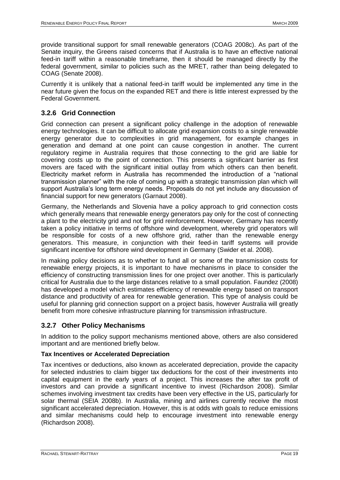provide transitional support for small renewable generators (COAG 2008c). As part of the Senate inquiry, the Greens raised concerns that if Australia is to have an effective national feed-in tariff within a reasonable timeframe, then it should be managed directly by the federal government, similar to policies such as the MRET, rather than being delegated to COAG (Senate 2008).

Currently it is unlikely that a national feed-in tariff would be implemented any time in the near future given the focus on the expanded RET and there is little interest expressed by the Federal Government.

## <span id="page-18-0"></span>**3.2.6 Grid Connection**

Grid connection can present a significant policy challenge in the adoption of renewable energy technologies. It can be difficult to allocate grid expansion costs to a single renewable energy generator due to complexities in grid management, for example changes in generation and demand at one point can cause congestion in another. The current regulatory regime in Australia requires that those connecting to the grid are liable for covering costs up to the point of connection. This presents a significant barrier as first movers are faced with the significant initial outlay from which others can then benefit. Electricity market reform in Australia has recommended the introduction of a "national transmission planner" with the role of coming up with a strategic transmission plan which will support Australia"s long term energy needs. Proposals do not yet include any discussion of financial support for new generators (Garnaut 2008).

Germany, the Netherlands and Slovenia have a policy approach to grid connection costs which generally means that renewable energy generators pay only for the cost of connecting a plant to the electricity grid and not for grid reinforcement. However, Germany has recently taken a policy initiative in terms of offshore wind development, whereby grid operators will be responsible for costs of a new offshore grid, rather than the renewable energy generators. This measure, in conjunction with their feed-in tariff systems will provide significant incentive for offshore wind development in Germany (Swider et al. 2008).

In making policy decisions as to whether to fund all or some of the transmission costs for renewable energy projects, it is important to have mechanisms in place to consider the efficiency of constructing transmission lines for one project over another. This is particularly critical for Australia due to the large distances relative to a small population. Faundez (2008) has developed a model which estimates efficiency of renewable energy based on transport distance and productivity of area for renewable generation. This type of analysis could be useful for planning grid connection support on a project basis, however Australia will greatly benefit from more cohesive infrastructure planning for transmission infrastructure.

## <span id="page-18-1"></span>**3.2.7 Other Policy Mechanisms**

In addition to the policy support mechanisms mentioned above, others are also considered important and are mentioned briefly below.

## **Tax Incentives or Accelerated Depreciation**

Tax incentives or deductions, also known as accelerated depreciation, provide the capacity for selected industries to claim bigger tax deductions for the cost of their investments into capital equipment in the early years of a project. This increases the after tax profit of investors and can provide a significant incentive to invest (Richardson 2008). Similar schemes involving investment tax credits have been very effective in the US, particularly for solar thermal (SEIA 2008b). In Australia, mining and airlines currently receive the most significant accelerated depreciation. However, this is at odds with goals to reduce emissions and similar mechanisms could help to encourage investment into renewable energy (Richardson 2008).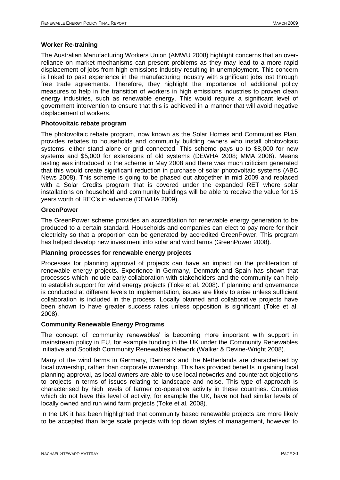### **Worker Re-training**

The Australian Manufacturing Workers Union (AMWU 2008) highlight concerns that an overreliance on market mechanisms can present problems as they may lead to a more rapid displacement of jobs from high emissions industry resulting in unemployment. This concern is linked to past experience in the manufacturing industry with significant jobs lost through free trade agreements. Therefore, they highlight the importance of additional policy measures to help in the transition of workers in high emissions industries to proven clean energy industries, such as renewable energy. This would require a significant level of government intervention to ensure that this is achieved in a manner that will avoid negative displacement of workers.

## **Photovoltaic rebate program**

The photovoltaic rebate program, now known as the Solar Homes and Communities Plan, provides rebates to households and community building owners who install photovoltaic systems, either stand alone or grid connected. This scheme pays up to \$8,000 for new systems and \$5,000 for extensions of old systems (DEWHA 2008; MMA 2006). Means testing was introduced to the scheme in May 2008 and there was much criticism generated that this would create significant reduction in purchase of solar photovoltaic systems (ABC News 2008). This scheme is going to be phased out altogether in mid 2009 and replaced with a Solar Credits program that is covered under the expanded RET where solar installations on household and community buildings will be able to receive the value for 15 years worth of REC"s in advance (DEWHA 2009).

#### **GreenPower**

The GreenPower scheme provides an accreditation for renewable energy generation to be produced to a certain standard. Households and companies can elect to pay more for their electricity so that a proportion can be generated by accredited GreenPower. This program has helped develop new investment into solar and wind farms (GreenPower 2008).

### **Planning processes for renewable energy projects**

Processes for planning approval of projects can have an impact on the proliferation of renewable energy projects. Experience in Germany, Denmark and Spain has shown that processes which include early collaboration with stakeholders and the community can help to establish support for wind energy projects (Toke et al. 2008). If planning and governance is conducted at different levels to implementation, issues are likely to arise unless sufficient collaboration is included in the process. Locally planned and collaborative projects have been shown to have greater success rates unless opposition is significant (Toke et al. 2008).

## **Community Renewable Energy Programs**

The concept of 'community renewables' is becoming more important with support in mainstream policy in EU, for example funding in the UK under the Community Renewables Initiative and Scottish Community Renewables Network (Walker & Devine-Wright 2008).

Many of the wind farms in Germany, Denmark and the Netherlands are characterised by local ownership, rather than corporate ownership. This has provided benefits in gaining local planning approval, as local owners are able to use local networks and counteract objections to projects in terms of issues relating to landscape and noise. This type of approach is characterised by high levels of farmer co-operative activity in these countries. Countries which do not have this level of activity, for example the UK, have not had similar levels of locally owned and run wind farm projects (Toke et al. 2008).

In the UK it has been highlighted that community based renewable projects are more likely to be accepted than large scale projects with top down styles of management, however to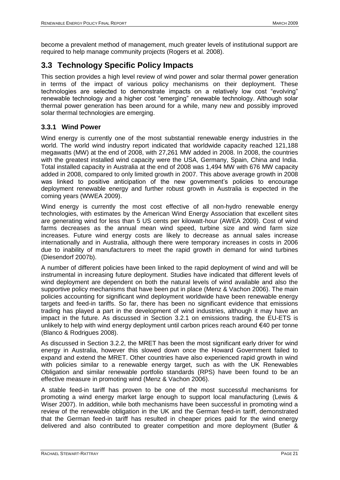become a prevalent method of management, much greater levels of institutional support are required to help manage community projects (Rogers et al. 2008).

# <span id="page-20-0"></span>**3.3 Technology Specific Policy Impacts**

This section provides a high level review of wind power and solar thermal power generation in terms of the impact of various policy mechanisms on their deployment. These technologies are selected to demonstrate impacts on a relatively low cost "evolving" renewable technology and a higher cost "emerging" renewable technology. Although solar thermal power generation has been around for a while, many new and possibly improved solar thermal technologies are emerging.

## <span id="page-20-1"></span>**3.3.1 Wind Power**

Wind energy is currently one of the most substantial renewable energy industries in the world. The world wind industry report indicated that worldwide capacity reached 121,188 megawatts (MW) at the end of 2008, with 27,261 MW added in 2008. In 2008, the countries with the greatest installed wind capacity were the USA, Germany, Spain, China and India. Total installed capacity in Australia at the end of 2008 was 1,494 MW with 676 MW capacity added in 2008, compared to only limited growth in 2007. This above average growth in 2008 was linked to positive anticipation of the new government's policies to encourage deployment renewable energy and further robust growth in Australia is expected in the coming years (WWEA 2009).

Wind energy is currently the most cost effective of all non-hydro renewable energy technologies, with estimates by the American Wind Energy Association that excellent sites are generating wind for less than 5 US cents per kilowatt-hour (AWEA 2009). Cost of wind farms decreases as the annual mean wind speed, turbine size and wind farm size increases. Future wind energy costs are likely to decrease as annual sales increase internationally and in Australia, although there were temporary increases in costs in 2006 due to inability of manufacturers to meet the rapid growth in demand for wind turbines (Diesendorf 2007b).

A number of different policies have been linked to the rapid deployment of wind and will be instrumental in increasing future deployment. Studies have indicated that different levels of wind deployment are dependent on both the natural levels of wind available and also the supportive policy mechanisms that have been put in place (Menz & Vachon 2006). The main policies accounting for significant wind deployment worldwide have been renewable energy targets and feed-in tariffs. So far, there has been no significant evidence that emissions trading has played a part in the development of wind industries, although it may have an impact in the future. As discussed in Section [3.2.1](#page-10-1) on emissions trading, the EU-ETS is unlikely to help with wind energy deployment until carbon prices reach around €40 per tonne (Blanco & Rodrigues 2008).

As discussed in Section [3.2.2,](#page-12-0) the MRET has been the most significant early driver for wind energy in Australia, however this slowed down once the Howard Government failed to expand and extend the MRET. Other countries have also experienced rapid growth in wind with policies similar to a renewable energy target, such as with the UK Renewables Obligation and similar renewable portfolio standards (RPS) have been found to be an effective measure in promoting wind (Menz & Vachon 2006).

A stable feed-in tariff has proven to be one of the most successful mechanisms for promoting a wind energy market large enough to support local manufacturing (Lewis & Wiser 2007). In addition, while both mechanisms have been successful in promoting wind a review of the renewable obligation in the UK and the German feed-in tariff, demonstrated that the German feed-in tariff has resulted in cheaper prices paid for the wind energy delivered and also contributed to greater competition and more deployment (Butler &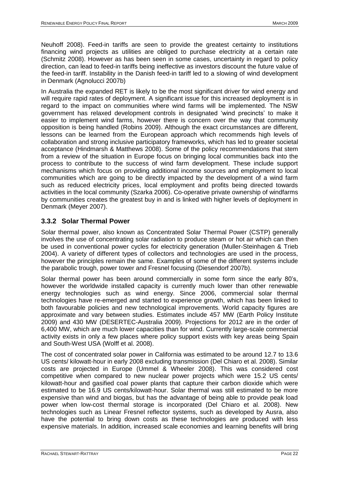Neuhoff 2008). Feed-in tariffs are seen to provide the greatest certainty to institutions financing wind projects as utilities are obliged to purchase electricity at a certain rate (Schmitz 2008). However as has been seen in some cases, uncertainty in regard to policy direction, can lead to feed-in tariffs being ineffective as investors discount the future value of the feed-in tariff. Instability in the Danish feed-in tariff led to a slowing of wind development in Denmark (Agnolucci 2007b)

In Australia the expanded RET is likely to be the most significant driver for wind energy and will require rapid rates of deployment. A significant issue for this increased deployment is in regard to the impact on communities where wind farms will be implemented. The NSW government has relaxed development controls in designated "wind precincts" to make it easier to implement wind farms, however there is concern over the way that community opposition is being handled (Robins 2009). Although the exact circumstances are different, lessons can be learned from the European approach which recommends high levels of collaboration and strong inclusive participatory frameworks, which has led to greater societal acceptance (Hindmarsh & Matthews 2008). Some of the policy recommendations that stem from a review of the situation in Europe focus on bringing local communities back into the process to contribute to the success of wind farm development. These include support mechanisms which focus on providing additional income sources and employment to local communities which are going to be directly impacted by the development of a wind farm such as reduced electricity prices, local employment and profits being directed towards activities in the local community (Szarka 2006). Co-operative private ownership of windfarms by communities creates the greatest buy in and is linked with higher levels of deployment in Denmark (Meyer 2007).

## <span id="page-21-0"></span>**3.3.2 Solar Thermal Power**

Solar thermal power, also known as Concentrated Solar Thermal Power (CSTP) generally involves the use of concentrating solar radiation to produce steam or hot air which can then be used in conventional power cycles for electricity generation (Muller-Steinhagen & Trieb 2004). A variety of different types of collectors and technologies are used in the process, however the principles remain the same. Examples of some of the different systems include the parabolic trough, power tower and Fresnel focusing (Diesendorf 2007b).

Solar thermal power has been around commercially in some form since the early 80"s, however the worldwide installed capacity is currently much lower than other renewable energy technologies such as wind energy. Since 2006, commercial solar thermal technologies have re-emerged and started to experience growth, which has been linked to both favourable policies and new technological improvements. World capacity figures are approximate and vary between studies. Estimates include 457 MW (Earth Policy Institute 2009) and 430 MW (DESERTEC-Australia 2009). Projections for 2012 are in the order of 6,400 MW, which are much lower capacities than for wind. Currently large-scale commercial activity exists in only a few places where policy support exists with key areas being Spain and South-West USA (Wolff et al. 2008).

The cost of concentrated solar power in California was estimated to be around 12.7 to 13.6 US cents/ kilowatt-hour in early 2008 excluding transmission (Del Chiaro et al. 2008). Similar costs are projected in Europe (Ummel & Wheeler 2008). This was considered cost competitive when compared to new nuclear power projects which were 15.2 US cents/ kilowatt-hour and gasified coal power plants that capture their carbon dioxide which were estimated to be 16.9 US cents/kilowatt-hour. Solar thermal was still estimated to be more expensive than wind and biogas, but has the advantage of being able to provide peak load power when low-cost thermal storage is incorporated (Del Chiaro et al. 2008). New technologies such as Linear Fresnel reflector systems, such as developed by Ausra, also have the potential to bring down costs as these technologies are produced with less expensive materials. In addition, increased scale economies and learning benefits will bring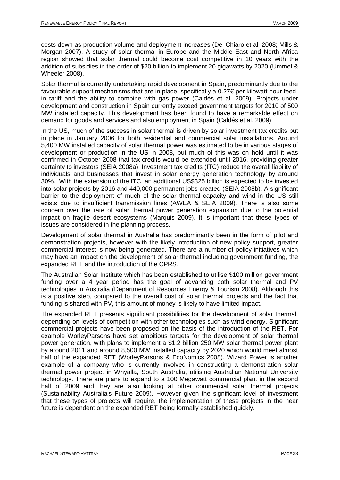costs down as production volume and deployment increases (Del Chiaro et al. 2008; Mills & Morgan 2007). A study of solar thermal in Europe and the Middle East and North Africa region showed that solar thermal could become cost competitive in 10 years with the addition of subsidies in the order of \$20 billion to implement 20 gigawatts by 2020 (Ummel & Wheeler 2008).

Solar thermal is currently undertaking rapid development in Spain, predominantly due to the favourable support mechanisms that are in place, specifically a 0.27€ per kilowatt hour feedin tariff and the ability to combine with gas power (Caldés et al. 2009). Projects under development and construction in Spain currently exceed government targets for 2010 of 500 MW installed capacity. This development has been found to have a remarkable effect on demand for goods and services and also employment in Spain (Caldés et al. 2009).

In the US, much of the success in solar thermal is driven by solar investment tax credits put in place in January 2006 for both residential and commercial solar installations. Around 5,400 MW installed capacity of solar thermal power was estimated to be in various stages of development or production in the US in 2008, but much of this was on hold until it was confirmed in October 2008 that tax credits would be extended until 2016, providing greater certainty to investors (SEIA 2008a). Investment tax credits (ITC) reduce the overall liability of individuals and businesses that invest in solar energy generation technology by around 30%. With the extension of the ITC, an additional US\$325 billion is expected to be invested into solar projects by 2016 and 440,000 permanent jobs created (SEIA 2008b). A significant barrier to the deployment of much of the solar thermal capacity and wind in the US still exists due to insufficient transmission lines (AWEA & SEIA 2009). There is also some concern over the rate of solar thermal power generation expansion due to the potential impact on fragile desert ecosystems (Marquis 2009). It is important that these types of issues are considered in the planning process.

Development of solar thermal in Australia has predominantly been in the form of pilot and demonstration projects, however with the likely introduction of new policy support, greater commercial interest is now being generated. There are a number of policy initiatives which may have an impact on the development of solar thermal including government funding, the expanded RET and the introduction of the CPRS.

The Australian Solar Institute which has been established to utilise \$100 million government funding over a 4 year period has the goal of advancing both solar thermal and PV technologies in Australia (Department of Resources Energy & Tourism 2008). Although this is a positive step, compared to the overall cost of solar thermal projects and the fact that funding is shared with PV, this amount of money is likely to have limited impact.

The expanded RET presents significant possibilities for the development of solar thermal, depending on levels of competition with other technologies such as wind energy. Significant commercial projects have been proposed on the basis of the introduction of the RET. For example WorleyParsons have set ambitious targets for the development of solar thermal power generation, with plans to implement a \$1.2 billion 250 MW solar thermal power plant by around 2011 and around 8,500 MW installed capacity by 2020 which would meet almost half of the expanded RET (WorleyParsons & EcoNomics 2008). Wizard Power is another example of a company who is currently involved in constructing a demonstration solar thermal power project in Whyalla, South Australia, utilising Australian National University technology. There are plans to expand to a 100 Megawatt commercial plant in the second half of 2009 and they are also looking at other commercial solar thermal projects (Sustainability Australia's Future 2009). However given the significant level of investment that these types of projects will require, the implementation of these projects in the near future is dependent on the expanded RET being formally established quickly.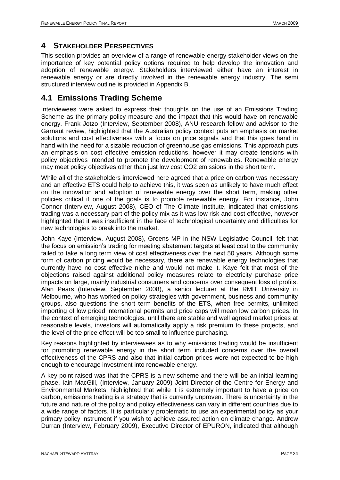## <span id="page-23-0"></span>**4 STAKEHOLDER PERSPECTIVES**

This section provides an overview of a range of renewable energy stakeholder views on the importance of key potential policy options required to help develop the innovation and adoption of renewable energy. Stakeholders interviewed either have an interest in renewable energy or are directly involved in the renewable energy industry. The semi structured interview outline is provided in Appendix B.

# <span id="page-23-1"></span>**4.1 Emissions Trading Scheme**

Interviewees were asked to express their thoughts on the use of an Emissions Trading Scheme as the primary policy measure and the impact that this would have on renewable energy. Frank Jotzo (Interview, September 2008), ANU research fellow and advisor to the Garnaut review, highlighted that the Australian policy context puts an emphasis on market solutions and cost effectiveness with a focus on price signals and that this goes hand in hand with the need for a sizable reduction of greenhouse gas emissions. This approach puts an emphasis on cost effective emission reductions, however it may create tensions with policy objectives intended to promote the development of renewables. Renewable energy may meet policy objectives other than just low cost CO2 emissions in the short term.

While all of the stakeholders interviewed here agreed that a price on carbon was necessary and an effective ETS could help to achieve this, it was seen as unlikely to have much effect on the innovation and adoption of renewable energy over the short term, making other policies critical if one of the goals is to promote renewable energy. For instance, John Connor (Interview, August 2008), CEO of The Climate Institute, indicated that emissions trading was a necessary part of the policy mix as it was low risk and cost effective, however highlighted that it was insufficient in the face of technological uncertainty and difficulties for new technologies to break into the market.

John Kaye (Interview, August 2008), Greens MP in the NSW Legislative Council, felt that the focus on emission"s trading for meeting abatement targets at least cost to the community failed to take a long term view of cost effectiveness over the next 50 years. Although some form of carbon pricing would be necessary, there are renewable energy technologies that currently have no cost effective niche and would not make it. Kaye felt that most of the objections raised against additional policy measures relate to electricity purchase price impacts on large, mainly industrial consumers and concerns over consequent loss of profits. Alan Pears (Interview, September 2008), a senior lecturer at the RMIT University in Melbourne, who has worked on policy strategies with government, business and community groups, also questions the short term benefits of the ETS, when free permits, unlimited importing of low priced international permits and price caps will mean low carbon prices. In the context of emerging technologies, until there are stable and well agreed market prices at reasonable levels, investors will automatically apply a risk premium to these projects, and the level of the price effect will be too small to influence purchasing.

Key reasons highlighted by interviewees as to why emissions trading would be insufficient for promoting renewable energy in the short term included concerns over the overall effectiveness of the CPRS and also that initial carbon prices were not expected to be high enough to encourage investment into renewable energy.

A key point raised was that the CPRS is a new scheme and there will be an initial learning phase. Iain MacGill, (Interview, January 2009) Joint Director of the Centre for Energy and Environmental Markets, highlighted that while it is extremely important to have a price on carbon, emissions trading is a strategy that is currently unproven. There is uncertainty in the future and nature of the policy and policy effectiveness can vary in different countries due to a wide range of factors. It is particularly problematic to use an experimental policy as your primary policy instrument if you wish to achieve assured action on climate change. Andrew Durran (Interview, February 2009), Executive Director of EPURON, indicated that although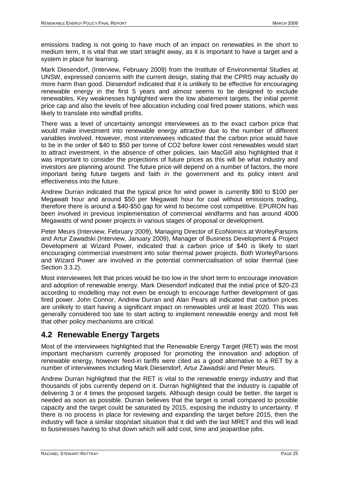emissions trading is not going to have much of an impact on renewables in the short to medium term, it is vital that we start straight away, as it is important to have a target and a system in place for learning.

Mark Diesendorf, (Interview, February 2009) from the Institute of Environmental Studies at UNSW, expressed concerns with the current design, stating that the CPRS may actually do more harm than good. Diesendorf indicated that it is unlikely to be effective for encouraging renewable energy in the first 5 years and almost seems to be designed to exclude renewables. Key weaknesses highlighted were the low abatement targets, the initial permit price cap and also the levels of free allocation including coal fired power stations, which was likely to translate into windfall profits.

There was a level of uncertainty amongst interviewees as to the exact carbon price that would make investment into renewable energy attractive due to the number of different variables involved. However, most interviewees indicated that the carbon price would have to be in the order of \$40 to \$50 per tonne of CO2 before lower cost renewables would start to attract investment, in the absence of other policies. Iain MacGill also highlighted that it was important to consider the projections of future prices as this will be what industry and investors are planning around. The future price will depend on a number of factors, the more important being future targets and faith in the government and its policy intent and effectiveness into the future.

Andrew Durran indicated that the typical price for wind power is currently \$90 to \$100 per Megawatt hour and around \$50 per Megawatt hour for coal without emissions trading, therefore there is around a \$40-\$50 gap for wind to become cost competitive. EPURON has been involved in previous implementation of commercial windfarms and has around 4000 Megawatts of wind power projects in various stages of proposal or development.

Peter Meurs (Interview, February 2009), Managing Director of EcoNomics at WorleyParsons and Artur Zawadski (Interview, January 2009), Manager of Business Development & Project Development at Wizard Power, indicated that a carbon price of \$40 is likely to start encouraging commercial investment into solar thermal power projects. Both WorleyParsons and Wizard Power are involved in the potential commercialisation of solar thermal (see Section [3.3.2\)](#page-21-0).

Most interviewees felt that prices would be too low in the short term to encourage innovation and adoption of renewable energy. Mark Diesendorf indicated that the initial price of \$20-23 according to modelling may not even be enough to encourage further development of gas fired power. John Connor, Andrew Durran and Alan Pears all indicated that carbon prices are unlikely to start having a significant impact on renewables until at least 2020. This was generally considered too late to start acting to implement renewable energy and most felt that other policy mechanisms are critical.

# <span id="page-24-0"></span>**4.2 Renewable Energy Targets**

Most of the interviewees highlighted that the Renewable Energy Target (RET) was the most important mechanism currently proposed for promoting the innovation and adoption of renewable energy, however feed-in tariffs were cited as a good alternative to a RET by a number of interviewees including Mark Diesendorf, Artur Zawadski and Peter Meurs.

Andrew Durran highlighted that the RET is vital to the renewable energy industry and that thousands of jobs currently depend on it. Durran highlighted that the industry is capable of delivering 3 or 4 times the proposed targets. Although design could be better, the target is needed as soon as possible. Durran believes that the target is small compared to possible capacity and the target could be saturated by 2015, exposing the industry to uncertainty. If there is no process in place for reviewing and expanding the target before 2015, then the industry will face a similar stop/start situation that it did with the last MRET and this will lead to businesses having to shut down which will add cost, time and jeopardise jobs.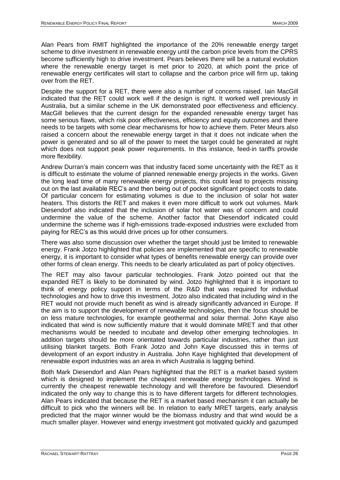Alan Pears from RMIT highlighted the importance of the 20% renewable energy target scheme to drive investment in renewable energy until the carbon price levels from the CPRS become sufficiently high to drive investment. Pears believes there will be a natural evolution where the renewable energy target is met prior to 2020, at which point the price of renewable energy certificates will start to collapse and the carbon price will firm up, taking over from the RET.

Despite the support for a RET, there were also a number of concerns raised. Iain MacGill indicated that the RET could work well if the design is right. It worked well previously in Australia, but a similar scheme in the UK demonstrated poor effectiveness and efficiency. MacGill believes that the current design for the expanded renewable energy target has some serious flaws, which risk poor effectiveness, efficiency and equity outcomes and there needs to be targets with some clear mechanisms for how to achieve them. Peter Meurs also raised a concern about the renewable energy target in that it does not indicate when the power is generated and so all of the power to meet the target could be generated at night which does not support peak power requirements. In this instance, feed-in tariffs provide more flexibility.

Andrew Durran"s main concern was that industry faced some uncertainty with the RET as it is difficult to estimate the volume of planned renewable energy projects in the works. Given the long lead time of many renewable energy projects, this could lead to projects missing out on the last available REC"s and then being out of pocket significant project costs to date. Of particular concern for estimating volumes is due to the inclusion of solar hot water heaters. This distorts the RET and makes it even more difficult to work out volumes. Mark Diesendorf also indicated that the inclusion of solar hot water was of concern and could undermine the value of the scheme. Another factor that Diesendorf indicated could undermine the scheme was if high-emissions trade-exposed industries were excluded from paying for REC"s as this would drive prices up for other consumers.

There was also some discussion over whether the target should just be limited to renewable energy. Frank Jotzo highlighted that policies are implemented that are specific to renewable energy, it is important to consider what types of benefits renewable energy can provide over other forms of clean energy. This needs to be clearly articulated as part of policy objectives.

The RET may also favour particular technologies. Frank Jotzo pointed out that the expanded RET is likely to be dominated by wind. Jotzo highlighted that it is important to think of energy policy support in terms of the R&D that was required for individual technologies and how to drive this investment. Jotzo also indicated that including wind in the RET would not provide much benefit as wind is already significantly advanced in Europe. If the aim is to support the development of renewable technologies, then the focus should be on less mature technologies, for example geothermal and solar thermal. John Kaye also indicated that wind is now sufficiently mature that it would dominate MRET and that other mechanisms would be needed to incubate and develop other emerging technologies. In addition targets should be more orientated towards particular industries, rather than just utilising blanket targets. Both Frank Jotzo and John Kaye discussed this in terms of development of an export industry in Australia. John Kaye highlighted that development of renewable export industries was an area in which Australia is lagging behind.

Both Mark Diesendorf and Alan Pears highlighted that the RET is a market based system which is designed to implement the cheapest renewable energy technologies. Wind is currently the cheapest renewable technology and will therefore be favoured. Diesendorf indicated the only way to change this is to have different targets for different technologies. Alan Pears indicated that because the RET is a market based mechanism it can actually be difficult to pick who the winners will be. In relation to early MRET targets, early analysis predicted that the major winner would be the biomass industry and that wind would be a much smaller player. However wind energy investment got motivated quickly and gazumped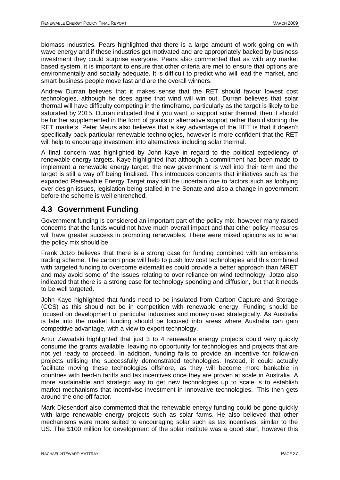biomass industries. Pears highlighted that there is a large amount of work going on with wave energy and if these industries get motivated and are appropriately backed by business investment they could surprise everyone. Pears also commented that as with any market based system, it is important to ensure that other criteria are met to ensure that options are environmentally and socially adequate. It is difficult to predict who will lead the market, and smart business people move fast and are the overall winners.

Andrew Durran believes that it makes sense that the RET should favour lowest cost technologies, although he does agree that wind will win out. Durran believes that solar thermal will have difficulty competing in the timeframe, particularly as the target is likely to be saturated by 2015. Durran indicated that if you want to support solar thermal, then it should be further supplemented in the form of grants or alternative support rather than distorting the RET markets. Peter Meurs also believes that a key advantage of the RET is that it doesn"t specifically back particular renewable technologies, however is more confident that the RET will help to encourage investment into alternatives including solar thermal.

A final concern was highlighted by John Kaye in regard to the political expediency of renewable energy targets. Kaye highlighted that although a commitment has been made to implement a renewable energy target, the new government is well into their term and the target is still a way off being finalised. This introduces concerns that initiatives such as the expanded Renewable Energy Target may still be uncertain due to factors such as lobbying over design issues, legislation being stalled in the Senate and also a change in government before the scheme is well entrenched.

# <span id="page-26-0"></span>**4.3 Government Funding**

Government funding is considered an important part of the policy mix, however many raised concerns that the funds would not have much overall impact and that other policy measures will have greater success in promoting renewables. There were mixed opinions as to what the policy mix should be.

Frank Jotzo believes that there is a strong case for funding combined with an emissions trading scheme. The carbon price will help to push low cost technologies and this combined with targeted funding to overcome externalities could provide a better approach than MRET and may avoid some of the issues relating to over reliance on wind technology. Jotzo also indicated that there is a strong case for technology spending and diffusion, but that it needs to be well targeted.

John Kaye highlighted that funds need to be insulated from Carbon Capture and Storage (CCS) as this should not be in competition with renewable energy. Funding should be focused on development of particular industries and money used strategically. As Australia is late into the market funding should be focused into areas where Australia can gain competitive advantage, with a view to export technology.

Artur Zawadski highlighted that just 3 to 4 renewable energy projects could very quickly consume the grants available, leaving no opportunity for technologies and projects that are not yet ready to proceed. In addition, funding fails to provide an incentive for follow-on projects utilising the successfully demonstrated technologies. Instead, it could actually facilitate moving these technologies offshore, as they will become more bankable in countries with feed-in tariffs and tax incentives once they are proven at scale in Australia. A more sustainable and strategic way to get new technologies up to scale is to establish market mechanisms that incentivise investment in innovative technologies. This then gets around the one-off factor.

Mark Diesendorf also commented that the renewable energy funding could be gone quickly with large renewable energy projects such as solar farms. He also believed that other mechanisms were more suited to encouraging solar such as tax incentives, similar to the US. The \$100 million for development of the solar institute was a good start, however this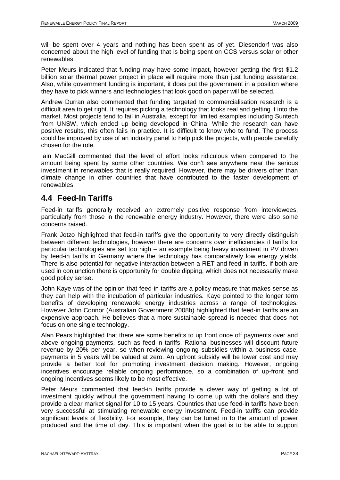will be spent over 4 years and nothing has been spent as of yet. Diesendorf was also concerned about the high level of funding that is being spent on CCS versus solar or other renewables.

Peter Meurs indicated that funding may have some impact, however getting the first \$1.2 billion solar thermal power project in place will require more than just funding assistance. Also, while government funding is important, it does put the government in a position where they have to pick winners and technologies that look good on paper will be selected.

Andrew Durran also commented that funding targeted to commercialisation research is a difficult area to get right. It requires picking a technology that looks real and getting it into the market. Most projects tend to fail in Australia, except for limited examples including Suntech from UNSW, which ended up being developed in China. While the research can have positive results, this often fails in practice. It is difficult to know who to fund. The process could be improved by use of an industry panel to help pick the projects, with people carefully chosen for the role.

Iain MacGill commented that the level of effort looks ridiculous when compared to the amount being spent by some other countries. We don"t see anywhere near the serious investment in renewables that is really required. However, there may be drivers other than climate change in other countries that have contributed to the faster development of renewables

## <span id="page-27-0"></span>**4.4 Feed-In Tariffs**

Feed-in tariffs generally received an extremely positive response from interviewees, particularly from those in the renewable energy industry. However, there were also some concerns raised.

Frank Jotzo highlighted that feed-in tariffs give the opportunity to very directly distinguish between different technologies, however there are concerns over inefficiencies if tariffs for particular technologies are set too high – an example being heavy investment in PV driven by feed-in tariffs in Germany where the technology has comparatively low energy yields. There is also potential for negative interaction between a RET and feed-in tariffs. If both are used in conjunction there is opportunity for double dipping, which does not necessarily make good policy sense.

John Kaye was of the opinion that feed-in tariffs are a policy measure that makes sense as they can help with the incubation of particular industries. Kaye pointed to the longer term benefits of developing renewable energy industries across a range of technologies. However John Connor (Australian Government 2008b) highlighted that feed-in tariffs are an expensive approach. He believes that a more sustainable spread is needed that does not focus on one single technology.

Alan Pears highlighted that there are some benefits to up front once off payments over and above ongoing payments, such as feed-in tariffs. Rational businesses will discount future revenue by 20% per year, so when reviewing ongoing subsidies within a business case, payments in 5 years will be valued at zero. An upfront subsidy will be lower cost and may provide a better tool for promoting investment decision making. However, ongoing incentives encourage reliable ongoing performance, so a combination of up-front and ongoing incentives seems likely to be most effective.

Peter Meurs commented that feed-in tariffs provide a clever way of getting a lot of investment quickly without the government having to come up with the dollars and they provide a clear market signal for 10 to 15 years. Countries that use feed-in tariffs have been very successful at stimulating renewable energy investment. Feed-in tariffs can provide significant levels of flexibility. For example, they can be tuned in to the amount of power produced and the time of day. This is important when the goal is to be able to support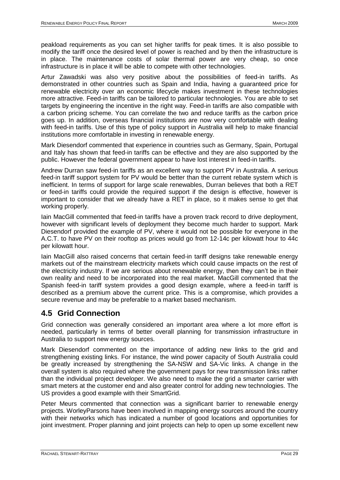peakload requirements as you can set higher tariffs for peak times. It is also possible to modify the tariff once the desired level of power is reached and by then the infrastructure is in place. The maintenance costs of solar thermal power are very cheap, so once infrastructure is in place it will be able to compete with other technologies.

Artur Zawadski was also very positive about the possibilities of feed-in tariffs. As demonstrated in other countries such as Spain and India, having a guaranteed price for renewable electricity over an economic lifecycle makes investment in these technologies more attractive. Feed-in tariffs can be tailored to particular technologies. You are able to set targets by engineering the incentive in the right way. Feed-in tariffs are also compatible with a carbon pricing scheme. You can correlate the two and reduce tariffs as the carbon price goes up. In addition, overseas financial institutions are now very comfortable with dealing with feed-in tariffs. Use of this type of policy support in Australia will help to make financial institutions more comfortable in investing in renewable energy.

Mark Diesendorf commented that experience in countries such as Germany, Spain, Portugal and Italy has shown that feed-in tariffs can be effective and they are also supported by the public. However the federal government appear to have lost interest in feed-in tariffs.

Andrew Durran saw feed-in tariffs as an excellent way to support PV in Australia. A serious feed-in tariff support system for PV would be better than the current rebate system which is inefficient. In terms of support for large scale renewables, Durran believes that both a RET or feed-in tariffs could provide the required support if the design is effective, however is important to consider that we already have a RET in place, so it makes sense to get that working properly.

Iain MacGill commented that feed-in tariffs have a proven track record to drive deployment, however with significant levels of deployment they become much harder to support. Mark Diesendorf provided the example of PV, where it would not be possible for everyone in the A.C.T. to have PV on their rooftop as prices would go from 12-14c per kilowatt hour to 44c per kilowatt hour.

Iain MacGill also raised concerns that certain feed-in tariff designs take renewable energy markets out of the mainstream electricity markets which could cause impacts on the rest of the electricity industry. If we are serious about renewable energy, then they can"t be in their own reality and need to be incorporated into the real market. MacGill commented that the Spanish feed-in tariff system provides a good design example, where a feed-in tariff is described as a premium above the current price. This is a compromise, which provides a secure revenue and may be preferable to a market based mechanism.

# <span id="page-28-0"></span>**4.5 Grid Connection**

Grid connection was generally considered an important area where a lot more effort is needed, particularly in terms of better overall planning for transmission infrastructure in Australia to support new energy sources.

Mark Diesendorf commented on the importance of adding new links to the grid and strengthening existing links. For instance, the wind power capacity of South Australia could be greatly increased by strengthening the SA-NSW and SA-Vic links. A change in the overall system is also required where the government pays for new transmission links rather than the individual project developer. We also need to make the grid a smarter carrier with smart meters at the customer end and also greater control for adding new technologies. The US provides a good example with their SmartGrid.

Peter Meurs commented that connection was a significant barrier to renewable energy projects. WorleyParsons have been involved in mapping energy sources around the country with their networks which has indicated a number of good locations and opportunities for joint investment. Proper planning and joint projects can help to open up some excellent new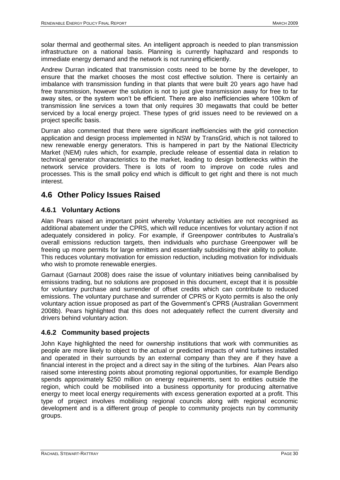solar thermal and geothermal sites. An intelligent approach is needed to plan transmission infrastructure on a national basis. Planning is currently haphazard and responds to immediate energy demand and the network is not running efficiently.

Andrew Durran indicated that transmission costs need to be borne by the developer, to ensure that the market chooses the most cost effective solution. There is certainly an imbalance with transmission funding in that plants that were built 20 years ago have had free transmission, however the solution is not to just give transmission away for free to far away sites, or the system won"t be efficient. There are also inefficiencies where 100km of transmission line services a town that only requires 30 megawatts that could be better serviced by a local energy project. These types of grid issues need to be reviewed on a project specific basis.

Durran also commented that there were significant inefficiencies with the grid connection application and design process implemented in NSW by TransGrid, which is not tailored to new renewable energy generators. This is hampered in part by the National Electricity Market (NEM) rules which, for example, preclude release of essential data in relation to technical generator characteristics to the market, leading to design bottlenecks within the network service providers. There is lots of room to improve on code rules and processes. This is the small policy end which is difficult to get right and there is not much interest.

# <span id="page-29-0"></span>**4.6 Other Policy Issues Raised**

## <span id="page-29-1"></span>**4.6.1 Voluntary Actions**

Alan Pears raised an important point whereby Voluntary activities are not recognised as additional abatement under the CPRS, which will reduce incentives for voluntary action if not adequately considered in policy. For example, if Greenpower contributes to Australia"s overall emissions reduction targets, then individuals who purchase Greenpower will be freeing up more permits for large emitters and essentially subsidising their ability to pollute. This reduces voluntary motivation for emission reduction, including motivation for individuals who wish to promote renewable energies.

Garnaut (Garnaut 2008) does raise the issue of voluntary initiatives being cannibalised by emissions trading, but no solutions are proposed in this document, except that it is possible for voluntary purchase and surrender of offset credits which can contribute to reduced emissions. The voluntary purchase and surrender of CPRS or Kyoto permits is also the only voluntary action issue proposed as part of the Government"s CPRS (Australian Government 2008b). Pears highlighted that this does not adequately reflect the current diversity and drivers behind voluntary action.

## <span id="page-29-2"></span>**4.6.2 Community based projects**

John Kaye highlighted the need for ownership institutions that work with communities as people are more likely to object to the actual or predicted impacts of wind turbines installed and operated in their surrounds by an external company than they are if they have a financial interest in the project and a direct say in the siting of the turbines. Alan Pears also raised some interesting points about promoting regional opportunities, for example Bendigo spends approximately \$250 million on energy requirements, sent to entities outside the region, which could be mobilised into a business opportunity for producing alternative energy to meet local energy requirements with excess generation exported at a profit. This type of project involves mobilising regional councils along with regional economic development and is a different group of people to community projects run by community groups.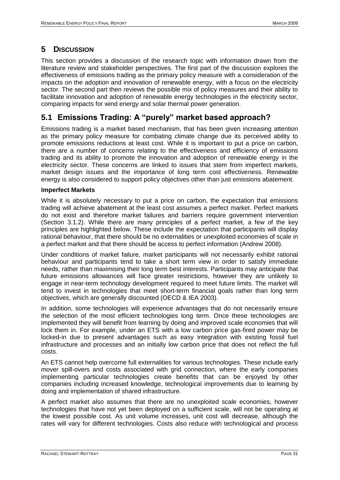# <span id="page-30-0"></span>**5 DISCUSSION**

This section provides a discussion of the research topic with information drawn from the literature review and stakeholder perspectives. The first part of the discussion explores the effectiveness of emissions trading as the primary policy measure with a consideration of the impacts on the adoption and innovation of renewable energy, with a focus on the electricity sector. The second part then reviews the possible mix of policy measures and their ability to facilitate innovation and adoption of renewable energy technologies in the electricity sector, comparing impacts for wind energy and solar thermal power generation.

# <span id="page-30-1"></span>**5.1 Emissions Trading: A "purely" market based approach?**

Emissions trading is a market based mechanism, that has been given increasing attention as the primary policy measure for combating climate change due its perceived ability to promote emissions reductions at least cost. While it is important to put a price on carbon, there are a number of concerns relating to the effectiveness and efficiency of emissions trading and its ability to promote the innovation and adoption of renewable energy in the electricity sector. These concerns are linked to issues that stem from imperfect markets, market design issues and the importance of long term cost effectiveness. Renewable energy is also considered to support policy objectives other than just emissions abatement.

## **Imperfect Markets**

While it is absolutely necessary to put a price on carbon, the expectation that emissions trading will achieve abatement at the least cost assumes a perfect market. Perfect markets do not exist and therefore market failures and barriers require government intervention (Section [3.1.2\)](#page-8-0). While there are many principles of a perfect market, a few of the key principles are highlighted below. These include the expectation that participants will display rational behaviour, that there should be no externalities or unexploited economies of scale in a perfect market and that there should be access to perfect information (Andrew 2008).

Under conditions of market failure, market participants will not necessarily exhibit rational behaviour and participants tend to take a short term view in order to satisfy immediate needs, rather than maximising their long term best interests. Participants may anticipate that future emissions allowances will face greater restrictions, however they are unlikely to engage in near-term technology development required to meet future limits. The market will tend to invest in technologies that meet short-term financial goals rather than long term objectives, which are generally discounted (OECD & IEA 2003).

In addition, some technologies will experience advantages that do not necessarily ensure the selection of the most efficient technologies long term. Once these technologies are implemented they will benefit from learning by doing and improved scale economies that will lock them in. For example, under an ETS with a low carbon price gas-fired power may be locked-in due to present advantages such as easy integration with existing fossil fuel infrastructure and processes and an initially low carbon price that does not reflect the full costs.

An ETS cannot help overcome full externalities for various technologies. These include early mover spill-overs and costs associated with grid connection, where the early companies implementing particular technologies create benefits that can be enjoyed by other companies including increased knowledge, technological improvements due to learning by doing and implementation of shared infrastructure.

A perfect market also assumes that there are no unexploited scale economies, however technologies that have not yet been deployed on a sufficient scale, will not be operating at the lowest possible cost. As unit volume increases, unit cost will decrease, although the rates will vary for different technologies. Costs also reduce with technological and process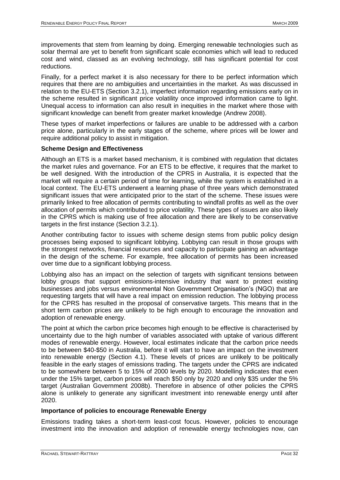improvements that stem from learning by doing. Emerging renewable technologies such as solar thermal are yet to benefit from significant scale economies which will lead to reduced cost and wind, classed as an evolving technology, still has significant potential for cost reductions.

Finally, for a perfect market it is also necessary for there to be perfect information which requires that there are no ambiguities and uncertainties in the market. As was discussed in relation to the EU-ETS (Section [3.2.1\)](#page-10-1), imperfect information regarding emissions early on in the scheme resulted in significant price volatility once improved information came to light. Unequal access to information can also result in inequities in the market where those with significant knowledge can benefit from greater market knowledge (Andrew 2008).

These types of market imperfections or failures are unable to be addressed with a carbon price alone, particularly in the early stages of the scheme, where prices will be lower and require additional policy to assist in mitigation.

### **Scheme Design and Effectiveness**

Although an ETS is a market based mechanism, it is combined with regulation that dictates the market rules and governance. For an ETS to be effective, it requires that the market to be well designed. With the introduction of the CPRS in Australia, it is expected that the market will require a certain period of time for learning, while the system is established in a local context. The EU-ETS underwent a learning phase of three years which demonstrated significant issues that were anticipated prior to the start of the scheme. These issues were primarily linked to free allocation of permits contributing to windfall profits as well as the over allocation of permits which contributed to price volatility. These types of issues are also likely in the CPRS which is making use of free allocation and there are likely to be conservative targets in the first instance (Section [3.2.1\)](#page-10-1).

Another contributing factor to issues with scheme design stems from public policy design processes being exposed to significant lobbying. Lobbying can result in those groups with the strongest networks, financial resources and capacity to participate gaining an advantage in the design of the scheme. For example, free allocation of permits has been increased over time due to a significant lobbying process.

Lobbying also has an impact on the selection of targets with significant tensions between lobby groups that support emissions-intensive industry that want to protect existing businesses and jobs versus environmental Non Government Organisation"s (NGO) that are requesting targets that will have a real impact on emission reduction. The lobbying process for the CPRS has resulted in the proposal of conservative targets. This means that in the short term carbon prices are unlikely to be high enough to encourage the innovation and adoption of renewable energy.

The point at which the carbon price becomes high enough to be effective is characterised by uncertainty due to the high number of variables associated with uptake of various different modes of renewable energy. However, local estimates indicate that the carbon price needs to be between \$40-\$50 in Australia, before it will start to have an impact on the investment into renewable energy (Section [4.1\)](#page-23-1). These levels of prices are unlikely to be politically feasible in the early stages of emissions trading. The targets under the CPRS are indicated to be somewhere between 5 to 15% of 2000 levels by 2020. Modelling indicates that even under the 15% target, carbon prices will reach \$50 only by 2020 and only \$35 under the 5% target (Australian Government 2008b). Therefore in absence of other policies the CPRS alone is unlikely to generate any significant investment into renewable energy until after 2020.

## **Importance of policies to encourage Renewable Energy**

Emissions trading takes a short-term least-cost focus. However, policies to encourage investment into the innovation and adoption of renewable energy technologies now, can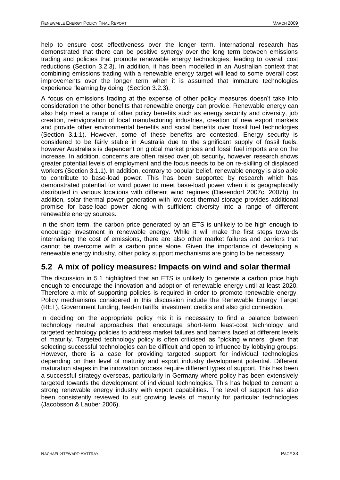help to ensure cost effectiveness over the longer term. International research has demonstrated that there can be positive synergy over the long term between emissions trading and policies that promote renewable energy technologies, leading to overall cost reductions (Section [3.2.3\)](#page-14-0). In addition, it has been modelled in an Australian context that combining emissions trading with a renewable energy target will lead to some overall cost improvements over the longer term when it is assumed that immature technologies experience "learning by doing" (Section [3.2.3\)](#page-14-0).

A focus on emissions trading at the expense of other policy measures doesn"t take into consideration the other benefits that renewable energy can provide. Renewable energy can also help meet a range of other policy benefits such as energy security and diversity, job creation, reinvigoration of local manufacturing industries, creation of new export markets and provide other environmental benefits and social benefits over fossil fuel technologies (Section [3.1.1\)](#page-6-2). However, some of these benefits are contested. Energy security is considered to be fairly stable in Australia due to the significant supply of fossil fuels, however Australia"s is dependent on global market prices and fossil fuel imports are on the increase. In addition, concerns are often raised over job security, however research shows greater potential levels of employment and the focus needs to be on re-skilling of displaced workers (Section [3.1.1\)](#page-6-2). In addition, contrary to popular belief, renewable energy is also able to contribute to base-load power. This has been supported by research which has demonstrated potential for wind power to meet base-load power when it is geographically distributed in various locations with different wind regimes (Diesendorf 2007c, 2007b). In addition, solar thermal power generation with low-cost thermal storage provides additional promise for base-load power along with sufficient diversity into a range of different renewable energy sources.

In the short term, the carbon price generated by an ETS is unlikely to be high enough to encourage investment in renewable energy. While it will make the first steps towards internalising the cost of emissions, there are also other market failures and barriers that cannot be overcome with a carbon price alone. Given the importance of developing a renewable energy industry, other policy support mechanisms are going to be necessary.

## <span id="page-32-0"></span>**5.2 A mix of policy measures: Impacts on wind and solar thermal**

The discussion in [5.1](#page-30-1) highlighted that an ETS is unlikely to generate a carbon price high enough to encourage the innovation and adoption of renewable energy until at least 2020. Therefore a mix of supporting policies is required in order to promote renewable energy. Policy mechanisms considered in this discussion include the Renewable Energy Target (RET), Government funding, feed-in tariffs, investment credits and also grid connection.

In deciding on the appropriate policy mix it is necessary to find a balance between technology neutral approaches that encourage short-term least-cost technology and targeted technology policies to address market failures and barriers faced at different levels of maturity. Targeted technology policy is often criticised as "picking winners" given that selecting successful technologies can be difficult and open to influence by lobbying groups. However, there is a case for providing targeted support for individual technologies depending on their level of maturity and export industry development potential. Different maturation stages in the innovation process require different types of support. This has been a successful strategy overseas, particularly in Germany where policy has been extensively targeted towards the development of individual technologies. This has helped to cement a strong renewable energy industry with export capabilities. The level of support has also been consistently reviewed to suit growing levels of maturity for particular technologies (Jacobsson & Lauber 2006).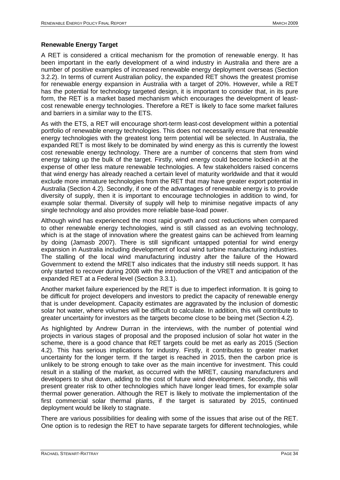## **Renewable Energy Target**

A RET is considered a critical mechanism for the promotion of renewable energy. It has been important in the early development of a wind industry in Australia and there are a number of positive examples of increased renewable energy deployment overseas (Section [3.2.2\)](#page-12-0). In terms of current Australian policy, the expanded RET shows the greatest promise for renewable energy expansion in Australia with a target of 20%. However, while a RET has the potential for technology targeted design, it is important to consider that, in its pure form, the RET is a market based mechanism which encourages the development of leastcost renewable energy technologies. Therefore a RET is likely to face some market failures and barriers in a similar way to the ETS.

As with the ETS, a RET will encourage short-term least-cost development within a potential portfolio of renewable energy technologies. This does not necessarily ensure that renewable energy technologies with the greatest long term potential will be selected. In Australia, the expanded RET is most likely to be dominated by wind energy as this is currently the lowest cost renewable energy technology. There are a number of concerns that stem from wind energy taking up the bulk of the target. Firstly, wind energy could become locked-in at the expense of other less mature renewable technologies. A few stakeholders raised concerns that wind energy has already reached a certain level of maturity worldwide and that it would exclude more immature technologies from the RET that may have greater export potential in Australia (Section [4.2\)](#page-24-0). Secondly, if one of the advantages of renewable energy is to provide diversity of supply, then it is important to encourage technologies in addition to wind, for example solar thermal. Diversity of supply will help to minimise negative impacts of any single technology and also provides more reliable base-load power.

Although wind has experienced the most rapid growth and cost reductions when compared to other renewable energy technologies, wind is still classed as an evolving technology, which is at the stage of innovation where the greatest gains can be achieved from learning by doing (Jamasb 2007). There is still significant untapped potential for wind energy expansion in Australia including development of local wind turbine manufacturing industries. The stalling of the local wind manufacturing industry after the failure of the Howard Government to extend the MRET also indicates that the industry still needs support. It has only started to recover during 2008 with the introduction of the VRET and anticipation of the expanded RET at a Federal level (Section [3.3.1\)](#page-20-1).

Another market failure experienced by the RET is due to imperfect information. It is going to be difficult for project developers and investors to predict the capacity of renewable energy that is under development. Capacity estimates are aggravated by the inclusion of domestic solar hot water, where volumes will be difficult to calculate. In addition, this will contribute to greater uncertainty for investors as the targets become close to be being met (Section [4.2\)](#page-24-0).

As highlighted by Andrew Durran in the interviews, with the number of potential wind projects in various stages of proposal and the proposed inclusion of solar hot water in the scheme, there is a good chance that RET targets could be met as early as 2015 (Section [4.2\)](#page-24-0). This has serious implications for industry. Firstly, it contributes to greater market uncertainty for the longer term. If the target is reached in 2015, then the carbon price is unlikely to be strong enough to take over as the main incentive for investment. This could result in a stalling of the market, as occurred with the MRET, causing manufacturers and developers to shut down, adding to the cost of future wind development. Secondly, this will present greater risk to other technologies which have longer lead times, for example solar thermal power generation. Although the RET is likely to motivate the implementation of the first commercial solar thermal plants, if the target is saturated by 2015, continued deployment would be likely to stagnate.

There are various possibilities for dealing with some of the issues that arise out of the RET. One option is to redesign the RET to have separate targets for different technologies, while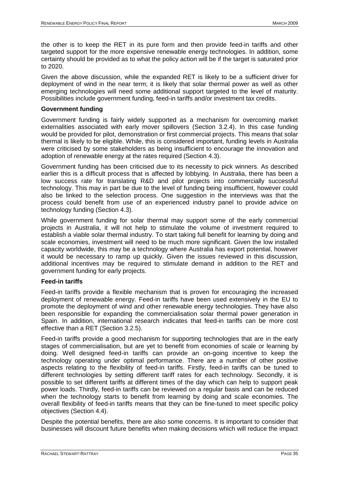the other is to keep the RET in its pure form and then provide feed-in tariffs and other targeted support for the more expensive renewable energy technologies. In addition, some certainty should be provided as to what the policy action will be if the target is saturated prior to 2020.

Given the above discussion, while the expanded RET is likely to be a sufficient driver for deployment of wind in the near term; it is likely that solar thermal power as well as other emerging technologies will need some additional support targeted to the level of maturity. Possibilities include government funding, feed-in tariffs and/or investment tax credits.

### **Government funding**

Government funding is fairly widely supported as a mechanism for overcoming market externalities associated with early mover spillovers (Section [3.2.4\)](#page-15-0). In this case funding would be provided for pilot, demonstration or first commercial projects. This means that solar thermal is likely to be eligible. While, this is considered important, funding levels in Australia were criticised by some stakeholders as being insufficient to encourage the innovation and adoption of renewable energy at the rates required (Section [4.3\)](#page-26-0).

Government funding has been criticised due to its necessity to pick winners. As described earlier this is a difficult process that is affected by lobbying. In Australia, there has been a low success rate for translating R&D and pilot projects into commercially successful technology. This may in part be due to the level of funding being insufficient, however could also be linked to the selection process. One suggestion in the interviews was that the process could benefit from use of an experienced industry panel to provide advice on technology funding (Section [4.3\)](#page-26-0).

While government funding for solar thermal may support some of the early commercial projects in Australia, it will not help to stimulate the volume of investment required to establish a viable solar thermal industry. To start taking full benefit for learning by doing and scale economies, investment will need to be much more significant. Given the low installed capacity worldwide, this may be a technology where Australia has export potential, however it would be necessary to ramp up quickly. Given the issues reviewed in this discussion, additional incentives may be required to stimulate demand in addition to the RET and government funding for early projects.

#### **Feed-in tariffs**

Feed-in tariffs provide a flexible mechanism that is proven for encouraging the increased deployment of renewable energy. Feed-in tariffs have been used extensively in the EU to promote the deployment of wind and other renewable energy technologies. They have also been responsible for expanding the commercialisation solar thermal power generation in Spain. In addition, international research indicates that feed-in tariffs can be more cost effective than a RET (Section [3.2.5\)](#page-16-0).

Feed-in tariffs provide a good mechanism for supporting technologies that are in the early stages of commercialisation, but are yet to benefit from economies of scale or learning by doing. Well designed feed-in tariffs can provide an on-going incentive to keep the technology operating under optimal performance. There are a number of other positive aspects relating to the flexibility of feed-in tariffs. Firstly, feed-in tariffs can be tuned to different technologies by setting different tariff rates for each technology. Secondly, it is possible to set different tariffs at different times of the day which can help to support peak power loads. Thirdly, feed-in tariffs can be reviewed on a regular basis and can be reduced when the technology starts to benefit from learning by doing and scale economies. The overall flexibility of feed-in tariffs means that they can be fine-tuned to meet specific policy objectives (Section [4.4\)](#page-27-0).

Despite the potential benefits, there are also some concerns. It is important to consider that businesses will discount future benefits when making decisions which will reduce the impact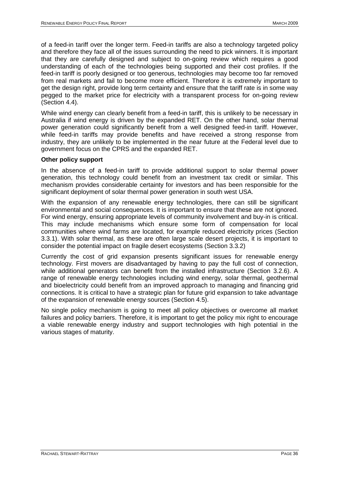of a feed-in tariff over the longer term. Feed-in tariffs are also a technology targeted policy and therefore they face all of the issues surrounding the need to pick winners. It is important that they are carefully designed and subject to on-going review which requires a good understanding of each of the technologies being supported and their cost profiles. If the feed-in tariff is poorly designed or too generous, technologies may become too far removed from real markets and fail to become more efficient. Therefore it is extremely important to get the design right, provide long term certainty and ensure that the tariff rate is in some way pegged to the market price for electricity with a transparent process for on-going review (Section [4.4\)](#page-27-0).

While wind energy can clearly benefit from a feed-in tariff, this is unlikely to be necessary in Australia if wind energy is driven by the expanded RET. On the other hand, solar thermal power generation could significantly benefit from a well designed feed-in tariff. However, while feed-in tariffs may provide benefits and have received a strong response from industry, they are unlikely to be implemented in the near future at the Federal level due to government focus on the CPRS and the expanded RET.

### **Other policy support**

In the absence of a feed-in tariff to provide additional support to solar thermal power generation, this technology could benefit from an investment tax credit or similar. This mechanism provides considerable certainty for investors and has been responsible for the significant deployment of solar thermal power generation in south west USA.

With the expansion of any renewable energy technologies, there can still be significant environmental and social consequences. It is important to ensure that these are not ignored. For wind energy, ensuring appropriate levels of community involvement and buy-in is critical. This may include mechanisms which ensure some form of compensation for local communities where wind farms are located, for example reduced electricity prices (Section [3.3.1\)](#page-20-1). With solar thermal, as these are often large scale desert projects, it is important to consider the potential impact on fragile desert ecosystems (Section [3.3.2\)](#page-21-0)

Currently the cost of grid expansion presents significant issues for renewable energy technology. First movers are disadvantaged by having to pay the full cost of connection, while additional generators can benefit from the installed infrastructure (Section [3.2.6\)](#page-18-0). A range of renewable energy technologies including wind energy, solar thermal, geothermal and bioelectricity could benefit from an improved approach to managing and financing grid connections. It is critical to have a strategic plan for future grid expansion to take advantage of the expansion of renewable energy sources (Section [4.5\)](#page-28-0).

No single policy mechanism is going to meet all policy objectives or overcome all market failures and policy barriers. Therefore, it is important to get the policy mix right to encourage a viable renewable energy industry and support technologies with high potential in the various stages of maturity.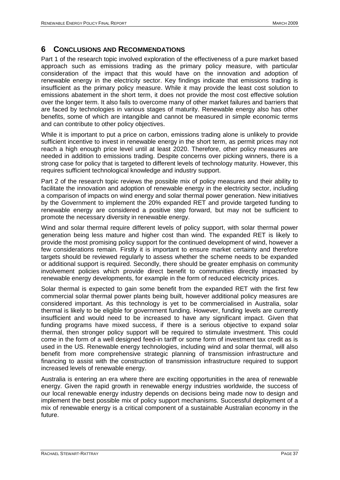## <span id="page-36-0"></span>**6 CONCLUSIONS AND RECOMMENDATIONS**

Part 1 of the research topic involved exploration of the effectiveness of a pure market based approach such as emissions trading as the primary policy measure, with particular consideration of the impact that this would have on the innovation and adoption of renewable energy in the electricity sector. Key findings indicate that emissions trading is insufficient as the primary policy measure. While it may provide the least cost solution to emissions abatement in the short term, it does not provide the most cost effective solution over the longer term. It also fails to overcome many of other market failures and barriers that are faced by technologies in various stages of maturity. Renewable energy also has other benefits, some of which are intangible and cannot be measured in simple economic terms and can contribute to other policy objectives.

While it is important to put a price on carbon, emissions trading alone is unlikely to provide sufficient incentive to invest in renewable energy in the short term, as permit prices may not reach a high enough price level until at least 2020. Therefore, other policy measures are needed in addition to emissions trading. Despite concerns over picking winners, there is a strong case for policy that is targeted to different levels of technology maturity. However, this requires sufficient technological knowledge and industry support.

Part 2 of the research topic reviews the possible mix of policy measures and their ability to facilitate the innovation and adoption of renewable energy in the electricity sector, including a comparison of impacts on wind energy and solar thermal power generation. New initiatives by the Government to implement the 20% expanded RET and provide targeted funding to renewable energy are considered a positive step forward, but may not be sufficient to promote the necessary diversity in renewable energy.

Wind and solar thermal require different levels of policy support, with solar thermal power generation being less mature and higher cost than wind. The expanded RET is likely to provide the most promising policy support for the continued development of wind, however a few considerations remain. Firstly it is important to ensure market certainty and therefore targets should be reviewed regularly to assess whether the scheme needs to be expanded or additional support is required. Secondly, there should be greater emphasis on community involvement policies which provide direct benefit to communities directly impacted by renewable energy developments, for example in the form of reduced electricity prices.

Solar thermal is expected to gain some benefit from the expanded RET with the first few commercial solar thermal power plants being built, however additional policy measures are considered important. As this technology is yet to be commercialised in Australia, solar thermal is likely to be eligible for government funding. However, funding levels are currently insufficient and would need to be increased to have any significant impact. Given that funding programs have mixed success, if there is a serious objective to expand solar thermal, then stronger policy support will be required to stimulate investment. This could come in the form of a well designed feed-in tariff or some form of investment tax credit as is used in the US. Renewable energy technologies, including wind and solar thermal, will also benefit from more comprehensive strategic planning of transmission infrastructure and financing to assist with the construction of transmission infrastructure required to support increased levels of renewable energy.

Australia is entering an era where there are exciting opportunities in the area of renewable energy. Given the rapid growth in renewable energy industries worldwide, the success of our local renewable energy industry depends on decisions being made now to design and implement the best possible mix of policy support mechanisms. Successful deployment of a mix of renewable energy is a critical component of a sustainable Australian economy in the future.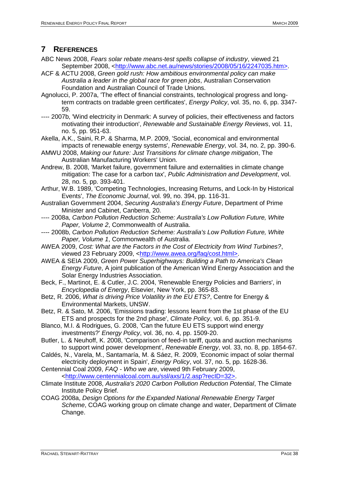## <span id="page-37-0"></span>**7 REFERENCES**

- ABC News 2008, *Fears solar rebate means-test spells collapse of industry*, viewed 21 September 2008, [<http://www.abc.net.au/news/stories/2008/05/16/2247035.htm>.](http://www.abc.net.au/news/stories/2008/05/16/2247035.htm%3e)
- ACF & ACTU 2008, *Green gold rush: How ambitious environmental policy can make Australia a leader in the global race for green jobs*, Australian Conservation Foundation and Australian Council of Trade Unions.
- Agnolucci, P. 2007a, 'The effect of financial constraints, technological progress and longterm contracts on tradable green certificates', *Energy Policy*, vol. 35, no. 6, pp. 3347- 59.
- ---- 2007b, 'Wind electricity in Denmark: A survey of policies, their effectiveness and factors motivating their introduction', *Renewable and Sustainable Energy Reviews*, vol. 11, no. 5, pp. 951-63.
- Akella, A.K., Saini, R.P. & Sharma, M.P. 2009, 'Social, economical and environmental impacts of renewable energy systems', *Renewable Energy*, vol. 34, no. 2, pp. 390-6.
- AMWU 2008, *Making our future: Just Transitions for climate change mitigation*, The Australian Manufacturing Workers' Union.
- Andrew, B. 2008, 'Market failure, government failure and externalities in climate change mitigation: The case for a carbon tax', *Public Administration and Development*, vol. 28, no. 5, pp. 393-401.
- Arthur, W.B. 1989, 'Competing Technologies, Increasing Returns, and Lock-In by Historical Events', *The Economic Journal*, vol. 99, no. 394, pp. 116-31.
- Australian Government 2004, *Securing Australia's Energy Future*, Department of Prime Minister and Cabinet, Canberra, 20.
- ---- 2008a, *Carbon Pollution Reduction Scheme: Australia's Low Pollution Future, White Paper, Volume 2*, Commonwealth of Australia.
- ---- 2008b, *Carbon Pollution Reduction Scheme: Australia's Low Pollution Future, White Paper, Volume 1*, Commonwealth of Australia.
- AWEA 2009, *Cost: What are the Factors in the Cost of Electricity from Wind Turbines?*, viewed 23 February 2009, [<http://www.awea.org/faq/cost.html>.](http://www.awea.org/faq/cost.html%3e)
- AWEA & SEIA 2009, *Green Power Superhighways: Building a Path to America's Clean Energy Future*, A joint publication of the American Wind Energy Association and the Solar Energy Industries Association.
- Beck, F., Martinot, E. & Cutler, J.C. 2004, 'Renewable Energy Policies and Barriers', in *Encyclopedia of Energy*, Elsevier, New York, pp. 365-83.
- Betz, R. 2006, *What is driving Price Volatility in the EU ETS?*, Centre for Energy & Environmental Markets, UNSW.
- Betz, R. & Sato, M. 2006, 'Emissions trading: lessons learnt from the 1st phase of the EU ETS and prospects for the 2nd phase', *Climate Policy*, vol. 6, pp. 351-9.
- Blanco, M.I. & Rodrigues, G. 2008, 'Can the future EU ETS support wind energy investments?' *Energy Policy*, vol. 36, no. 4, pp. 1509-20.
- Butler, L. & Neuhoff, K. 2008, 'Comparison of feed-in tariff, quota and auction mechanisms to support wind power development', *Renewable Energy*, vol. 33, no. 8, pp. 1854-67.
- Caldés, N., Varela, M., Santamaría, M. & Sáez, R. 2009, 'Economic impact of solar thermal electricity deployment in Spain', *Energy Policy*, vol. 37, no. 5, pp. 1628-36.
- Centennial Coal 2009, *FAQ - Who we are*, viewed 9th February 2009, [<http://www.centennialcoal.com.au/ssl/axs/1/2.asp?recID=32>.](http://www.centennialcoal.com.au/ssl/axs/1/2.asp?recID=32%3e)
- Climate Institute 2008, *Australia's 2020 Carbon Pollution Reduction Potential*, The Climate Institute Policy Brief.
- COAG 2008a, *Design Options for the Expanded National Renewable Energy Target Scheme*, COAG working group on climate change and water, Department of Climate Change.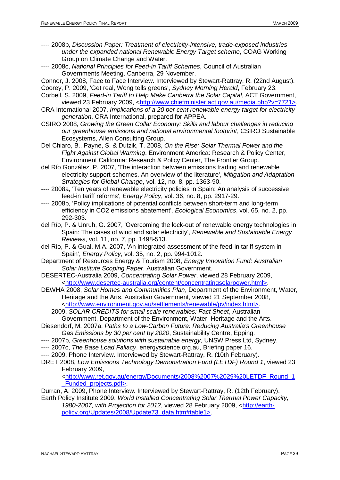- ---- 2008b, *Discussion Paper: Treatment of electricity-intensive, trade-exposed industries under the expanded national Renewable Energy Target scheme*, COAG Working Group on Climate Change and Water.
- ---- 2008c, *National Principles for Feed-in Tariff Schemes*, Council of Australian Governments Meeting, Canberra, 29 November.
- Connor, J. 2008, Face to Face Interview. Interviewed by Stewart-Rattray, R. (22nd August).
- Coorey, P. 2009, 'Get real, Wong tells greens', *Sydney Morning Herald*, February 23.
- Corbell, S. 2009, *Feed-in Tariff to Help Make Canberra the Solar Capital*, ACT Government, viewed 23 February 2009, [<http://www.chiefminister.act.gov.au/media.php?v=7721>.](http://www.chiefminister.act.gov.au/media.php?v=7721%3e)
- CRA International 2007, *Implications of a 20 per cent renewable energy target for electricity generation*, CRA International, prepared for APPEA.
- CSIRO 2008, *Growing the Green Collar Economy: Skills and labour challenges in reducing our greenhouse emissions and national environmental footprint*, CSIRO Sustainable Ecosystems, Allen Consulting Group.
- Del Chiaro, B., Payne, S. & Dutzik, T. 2008, *On the Rise: Solar Thermal Power and the Fight Against Global Warming*, Environment America: Research & Policy Center, Environment California: Research & Policy Center, The Frontier Group.
- del Río González, P. 2007, 'The interaction between emissions trading and renewable electricity support schemes. An overview of the literature', *Mitigation and Adaptation Strategies for Global Change*, vol. 12, no. 8, pp. 1363-90.
- ---- 2008a, 'Ten years of renewable electricity policies in Spain: An analysis of successive feed-in tariff reforms', *Energy Policy*, vol. 36, no. 8, pp. 2917-29.
- ---- 2008b, 'Policy implications of potential conflicts between short-term and long-term efficiency in CO2 emissions abatement', *Ecological Economics*, vol. 65, no. 2, pp. 292-303.
- del Río, P. & Unruh, G. 2007, 'Overcoming the lock-out of renewable energy technologies in Spain: The cases of wind and solar electricity', *Renewable and Sustainable Energy Reviews*, vol. 11, no. 7, pp. 1498-513.
- del Río, P. & Gual, M.A. 2007, 'An integrated assessment of the feed-in tariff system in Spain', *Energy Policy*, vol. 35, no. 2, pp. 994-1012.
- Department of Resources Energy & Tourism 2008, *Energy Innovation Fund: Australian Solar Institute Scoping Paper*, Australian Government.
- DESERTEC-Australia 2009, *Concentrating Solar Power*, viewed 28 February 2009, [<http://www.desertec-australia.org/content/concentratingsolarpower.html>.](http://www.desertec-australia.org/content/concentratingsolarpower.html%3e)
- DEWHA 2008, *Solar Homes and Communities Plan*, Department of the Environment, Water, Heritage and the Arts, Australian Government, viewed 21 September 2008, [<http://www.environment.gov.au/settlements/renewable/pv/index.html>.](http://www.environment.gov.au/settlements/renewable/pv/index.html%3e)
- ---- 2009, *SOLAR CREDITS for small scale renewables: Fact Sheet*, Australian Government, Department of the Environment, Water, Heritage and the Arts.
- Diesendorf, M. 2007a, *Paths to a Low-Carbon Future: Reducing Australia's Greenhouse Gas Emissions by 30 per cent by 2020*, Sustainability Centre, Epping.
- ---- 2007b, *Greenhouse solutions with sustainable energy*, UNSW Press Ltd, Sydney.
- ---- 2007c, *The Base Load Fallacy*, energyscience.org.au, Briefing paper 16.
- ---- 2009, Phone Interview. Interviewed by Stewart-Rattray, R. (10th February).
- DRET 2008, *Low Emissions Technology Demonstration Fund (LETDF) Round 1*, viewed 23 February 2009,

[<http://www.ret.gov.au/energy/Documents/2008%2007%2029%20LETDF\\_Round\\_1](http://www.ret.gov.au/energy/Documents/2008%2007%2029%20LETDF_Round_1_Funded_projects.pdf%3e) [\\_Funded\\_projects.pdf>.](http://www.ret.gov.au/energy/Documents/2008%2007%2029%20LETDF_Round_1_Funded_projects.pdf%3e)

- Durran, A. 2009, Phone Interview. Interviewed by Stewart-Rattray, R. (12th February). Earth Policy Institute 2009, *World Installed Concentrating Solar Thermal Power Capacity,* 
	- *1980-2007, with Projection for 2012, viewed 28 February 2009, [<http://earth](http://earth-policy.org/Updates/2008/Update73_data.htm#table1>)*[policy.org/Updates/2008/Update73\\_data.htm#table1>.](http://earth-policy.org/Updates/2008/Update73_data.htm#table1>)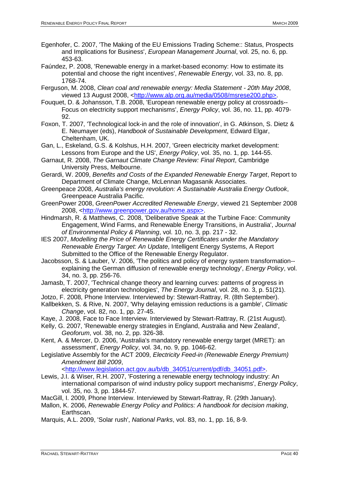- Egenhofer, C. 2007, 'The Making of the EU Emissions Trading Scheme:: Status, Prospects and Implications for Business', *European Management Journal*, vol. 25, no. 6, pp. 453-63.
- Faúndez, P. 2008, 'Renewable energy in a market-based economy: How to estimate its potential and choose the right incentives', *Renewable Energy*, vol. 33, no. 8, pp. 1768-74.
- Ferguson, M. 2008, *Clean coal and renewable energy: Media Statement - 20th May 2008*, viewed 13 August 2008, [<http://www.alp.org.au/media/0508/msrese200.php>.](http://www.alp.org.au/media/0508/msrese200.php%3e)
- Fouquet, D. & Johansson, T.B. 2008, 'European renewable energy policy at crossroads-- Focus on electricity support mechanisms', *Energy Policy*, vol. 36, no. 11, pp. 4079- 92.
- Foxon, T. 2007, 'Technological lock-in and the role of innovation', in G. Atkinson, S. Dietz & E. Neumayer (eds), *Handbook of Sustainable Development*, Edward Elgar, Cheltenham, UK.
- Gan, L., Eskeland, G.S. & Kolshus, H.H. 2007, 'Green electricity market development: Lessons from Europe and the US', *Energy Policy*, vol. 35, no. 1, pp. 144-55.
- Garnaut, R. 2008, *The Garnaut Climate Change Review: Final Report*, Cambridge University Press, Melbourne.
- Gerardi, W. 2009, *Benefits and Costs of the Expanded Renewable Energy Target*, Report to Department of Climate Change, McLennan Magasanik Associates.
- Greenpeace 2008, *Australia's energy revolution: A Sustainable Australia Energy Outlook*, Greenpeace Australia Pacific.
- GreenPower 2008, *GreenPower Accredited Renewable Energy*, viewed 21 September 2008 2008, [<http://www.greenpower.gov.au/home.aspx>.](http://www.greenpower.gov.au/home.aspx%3e)
- Hindmarsh, R. & Matthews, C. 2008, 'Deliberative Speak at the Turbine Face: Community Engagement, Wind Farms, and Renewable Energy Transitions, in Australia', *Journal of Environmental Policy & Planning*, vol. 10, no. 3, pp. 217 - 32.
- IES 2007, *Modelling the Price of Renewable Energy Certificates under the Mandatory Renewable Energy Target: An Update*, Intelligent Energy Systems, A Report Submitted to the Office of the Renewable Energy Regulator.
- Jacobsson, S. & Lauber, V. 2006, 'The politics and policy of energy system transformation- explaining the German diffusion of renewable energy technology', *Energy Policy*, vol. 34, no. 3, pp. 256-76.
- Jamasb, T. 2007, 'Technical change theory and learning curves: patterns of progress in electricity generation technologies', *The Energy Journal*, vol. 28, no. 3, p. 51(21).
- Jotzo, F. 2008, Phone Interview. Interviewed by: Stewart-Rattray, R. (8th September).
- Kallbekken, S. & Rive, N. 2007, 'Why delaying emission reductions is a gamble', *Climatic Change*, vol. 82, no. 1, pp. 27-45.
- Kaye, J. 2008, Face to Face Interview. Interviewed by Stewart-Rattray, R. (21st August).
- Kelly, G. 2007, 'Renewable energy strategies in England, Australia and New Zealand', *Geoforum*, vol. 38, no. 2, pp. 326-38.
- Kent, A. & Mercer, D. 2006, 'Australia's mandatory renewable energy target (MRET): an assessment', *Energy Policy*, vol. 34, no. 9, pp. 1046-62.
- Legislative Assembly for the ACT 2009, *Electricity Feed-in (Renewable Energy Premium) Amendment Bill 2009*,

[<http://www.legislation.act.gov.au/b/db\\_34051/current/pdf/db\\_34051.pdf>.](http://www.legislation.act.gov.au/b/db_34051/current/pdf/db_34051.pdf%3e)

- Lewis, J.I. & Wiser, R.H. 2007, 'Fostering a renewable energy technology industry: An international comparison of wind industry policy support mechanisms', *Energy Policy*, vol. 35, no. 3, pp. 1844-57.
- MacGill, I. 2009, Phone Interview. Interviewed by Stewart-Rattray, R. (29th January).
- Mallon, K. 2006, *Renewable Energy Policy and Politics: A handbook for decision making*, Earthscan.
- Marquis, A.L. 2009, 'Solar rush', *National Parks*, vol. 83, no. 1, pp. 16, 8-9.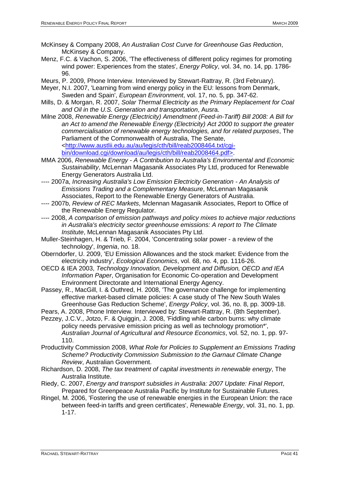- McKinsey & Company 2008, *An Australian Cost Curve for Greenhouse Gas Reduction*, McKinsey & Company.
- Menz, F.C. & Vachon, S. 2006, 'The effectiveness of different policy regimes for promoting wind power: Experiences from the states', *Energy Policy*, vol. 34, no. 14, pp. 1786- 96.
- Meurs, P. 2009, Phone Interview. Interviewed by Stewart-Rattray, R. (3rd February).
- Meyer, N.I. 2007, 'Learning from wind energy policy in the EU: lessons from Denmark, Sweden and Spain', *European Environment*, vol. 17, no. 5, pp. 347-62.
- Mills, D. & Morgan, R. 2007, *Solar Thermal Electricity as the Primary Replacement for Coal and Oil in the U.S. Generation and transportation*, Ausra.
- Milne 2008, *Renewable Energy (Electricity) Amendment (Feed-in-Tariff) Bill 2008: A Bill for an Act to amend the Renewable Energy (Electricity) Act 2000 to support the greater commercialisation of renewable energy technologies, and for related purposes*, The Parliament of the Commonwealth of Australia, The Senate, [<http://www.austlii.edu.au/au/legis/cth/bill/reab2008464.txt/cgi](http://www.austlii.edu.au/au/legis/cth/bill/reab2008464.txt/cgi-bin/download.cgi/download/au/legis/cth/bill/reab2008464.pdf%3e)[bin/download.cgi/download/au/legis/cth/bill/reab2008464.pdf>.](http://www.austlii.edu.au/au/legis/cth/bill/reab2008464.txt/cgi-bin/download.cgi/download/au/legis/cth/bill/reab2008464.pdf%3e)
- MMA 2006, *Renewable Energy - A Contribution to Australia's Environmental and Economic Sustainability*, McLennan Magasanik Associates Pty Ltd, produced for Renewable Energy Generators Australia Ltd.
- ---- 2007a, *Increasing Australia's Low Emission Electricity Generation - An Analysis of Emissions Trading and a Complementary Measure*, McLennan Magasanik Associates, Report to the Renewable Energy Generators of Australia.
- ---- 2007b, *Review of REC Markets*, Mclennan Magasanik Associates, Report to Office of the Renewable Energy Regulator.
- ---- 2008, *A comparison of emission pathways and policy mixes to achieve major reductions in Australia's electricity sector greenhouse emissions: A report to The Climate Institute*, McLennan Magasanik Associates Pty Ltd.
- Muller-Steinhagen, H. & Trieb, F. 2004, 'Concentrating solar power a review of the technology', *Ingenia*, no. 18.
- Oberndorfer, U. 2009, 'EU Emission Allowances and the stock market: Evidence from the electricity industry', *Ecological Economics*, vol. 68, no. 4, pp. 1116-26.
- OECD & IEA 2003, *Technology Innovation, Development and Diffusion, OECD and IEA Information Paper*, Organisation for Economic Co-operation and Development Environment Directorate and International Energy Agency.
- Passey, R., MacGill, I. & Outhred, H. 2008, 'The governance challenge for implementing effective market-based climate policies: A case study of The New South Wales Greenhouse Gas Reduction Scheme', *Energy Policy*, vol. 36, no. 8, pp. 3009-18.
- Pears, A. 2008, Phone Interview. Interviewed by: Stewart-Rattray, R. (8th September).
- Pezzey, J.C.V., Jotzo, F. & Quiggin, J. 2008, 'Fiddling while carbon burns: why climate policy needs pervasive emission pricing as well as technology promotion\*', *Australian Journal of Agricultural and Resource Economics*, vol. 52, no. 1, pp. 97- 110.
- Productivity Commission 2008, *What Role for Policies to Supplement an Emissions Trading Scheme? Productivity Commission Submission to the Garnaut Climate Change Review*, Australian Government.
- Richardson, D. 2008, *The tax treatment of capital investments in renewable energy*, The Australia Institute.
- Riedy, C. 2007, *Energy and transport subsidies in Australia: 2007 Update: Final Report*, Prepared for Greenpeace Australia Pacific by Institute for Sustainable Futures.
- Ringel, M. 2006, 'Fostering the use of renewable energies in the European Union: the race between feed-in tariffs and green certificates', *Renewable Energy*, vol. 31, no. 1, pp. 1-17.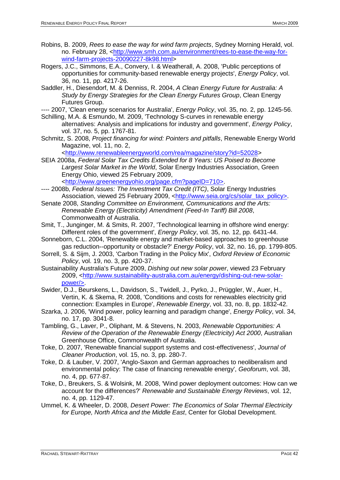- Robins, B. 2009, *Rees to ease the way for wind farm projects*, Sydney Morning Herald, vol. no. February 28, [<http://www.smh.com.au/environment/rees-to-ease-the-way-for](http://www.smh.com.au/environment/rees-to-ease-the-way-for-wind-farm-projects-20090227-8k98.html)[wind-farm-projects-20090227-8k98.html>](http://www.smh.com.au/environment/rees-to-ease-the-way-for-wind-farm-projects-20090227-8k98.html)
- Rogers, J.C., Simmons, E.A., Convery, I. & Weatherall, A. 2008, 'Public perceptions of opportunities for community-based renewable energy projects', *Energy Policy*, vol. 36, no. 11, pp. 4217-26.
- Saddler, H., Diesendorf, M. & Denniss, R. 2004, *A Clean Energy Future for Australia: A Study by Energy Strategies for the Clean Energy Futures Group*, Clean Energy Futures Group.
- ---- 2007, 'Clean energy scenarios for Australia', *Energy Policy*, vol. 35, no. 2, pp. 1245-56.
- Schilling, M.A. & Esmundo, M. 2009, 'Technology S-curves in renewable energy alternatives: Analysis and implications for industry and government', *Energy Policy*, vol. 37, no. 5, pp. 1767-81.
- Schmitz, S. 2008, *Project financing for wind: Pointers and pitfalls*, Renewable Energy World Magazine, vol. 11, no. 2,

[<http://www.renewableenergyworld.com/rea/magazine/story?id=52028>](http://www.renewableenergyworld.com/rea/magazine/story?id=52028)

SEIA 2008a, *Federal Solar Tax Credits Extended for 8 Years: US Poised to Become Largest Solar Market in the World*, Solar Energy Industries Association, Green Energy Ohio, viewed 25 February 2009, [<http://www.greenenergyohio.org/page.cfm?pageID=710>.](http://www.greenenergyohio.org/page.cfm?pageID=710%3e)

---- 2008b, *Federal Issues: The Investment Tax Credit (ITC)*, Solar Energy Industries Association, viewed 25 February 2009, [<http://www.seia.org/cs/solar\\_tax\\_policy>.](http://www.seia.org/cs/solar_tax_policy%3e)

- Senate 2008, *Standing Committee on Environment, Communications and the Arts: Renewable Energy (Electricity) Amendment (Feed-In Tariff) Bill 2008*, Commonwealth of Australia.
- Smit, T., Junginger, M. & Smits, R. 2007, 'Technological learning in offshore wind energy: Different roles of the government', *Energy Policy*, vol. 35, no. 12, pp. 6431-44.
- Sonneborn, C.L. 2004, 'Renewable energy and market-based approaches to greenhouse gas reduction--opportunity or obstacle?' *Energy Policy*, vol. 32, no. 16, pp. 1799-805.
- Sorrell, S. & Sijm, J. 2003, 'Carbon Trading in the Policy Mix', *Oxford Review of Economic Policy*, vol. 19, no. 3, pp. 420-37.
- Sustainability Australia's Future 2009, *Dishing out new solar power*, viewed 23 February 2009, [<http://www.sustainability-australia.com.au/energy/dishing-out-new-solar](http://www.sustainability-australia.com.au/energy/dishing-out-new-solar-power/%3e)[power/>.](http://www.sustainability-australia.com.au/energy/dishing-out-new-solar-power/%3e)
- Swider, D.J., Beurskens, L., Davidson, S., Twidell, J., Pyrko, J., Prüggler, W., Auer, H., Vertin, K. & Skema, R. 2008, 'Conditions and costs for renewables electricity grid connection: Examples in Europe', *Renewable Energy*, vol. 33, no. 8, pp. 1832-42.
- Szarka, J. 2006, 'Wind power, policy learning and paradigm change', *Energy Policy*, vol. 34, no. 17, pp. 3041-8.
- Tambling, G., Laver, P., Oliphant, M. & Stevens, N. 2003, *Renewable Opportunities: A Review of the Operation of the Renewable Energy (Electricity) Act 2000*, Australian Greenhouse Office, Commonwealth of Australia.
- Toke, D. 2007, 'Renewable financial support systems and cost-effectiveness', *Journal of Cleaner Production*, vol. 15, no. 3, pp. 280-7.
- Toke, D. & Lauber, V. 2007, 'Anglo-Saxon and German approaches to neoliberalism and environmental policy: The case of financing renewable energy', *Geoforum*, vol. 38, no. 4, pp. 677-87.
- Toke, D., Breukers, S. & Wolsink, M. 2008, 'Wind power deployment outcomes: How can we account for the differences?' *Renewable and Sustainable Energy Reviews*, vol. 12, no. 4, pp. 1129-47.
- Ummel, K. & Wheeler, D. 2008, *Desert Power: The Economics of Solar Thermal Electricity for Europe, North Africa and the Middle East*, Center for Global Development.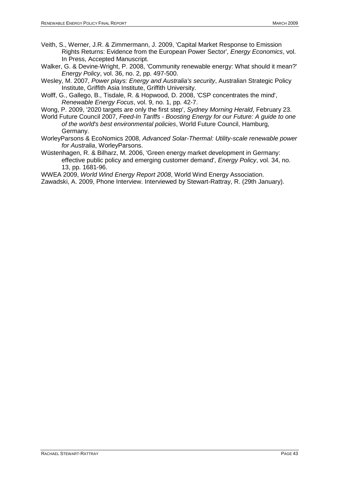- Veith, S., Werner, J.R. & Zimmermann, J. 2009, 'Capital Market Response to Emission Rights Returns: Evidence from the European Power Sector', *Energy Economics*, vol. In Press, Accepted Manuscript.
- Walker, G. & Devine-Wright, P. 2008, 'Community renewable energy: What should it mean?' *Energy Policy*, vol. 36, no. 2, pp. 497-500.
- Wesley, M. 2007, *Power plays: Energy and Australia's security*, Australian Strategic Policy Institute, Griffith Asia Institute, Griffith University.
- Wolff, G., Gallego, B., Tisdale, R. & Hopwood, D. 2008, 'CSP concentrates the mind', *Renewable Energy Focus*, vol. 9, no. 1, pp. 42-7.
- Wong, P. 2009, '2020 targets are only the first step', *Sydney Morning Herald*, February 23.
- World Future Council 2007, *Feed-In Tariffs - Boosting Energy for our Future: A guide to one of the world's best environmental policies*, World Future Council, Hamburg, Germany.
- WorleyParsons & EcoNomics 2008, *Advanced Solar-Thermal: Utility-scale renewable power for Australia*, WorleyParsons.
- Wüstenhagen, R. & Bilharz, M. 2006, 'Green energy market development in Germany: effective public policy and emerging customer demand', *Energy Policy*, vol. 34, no. 13, pp. 1681-96.
- WWEA 2009, *World Wind Energy Report 2008*, World Wind Energy Association.
- Zawadski, A. 2009, Phone Interview. Interviewed by Stewart-Rattray, R. (29th January).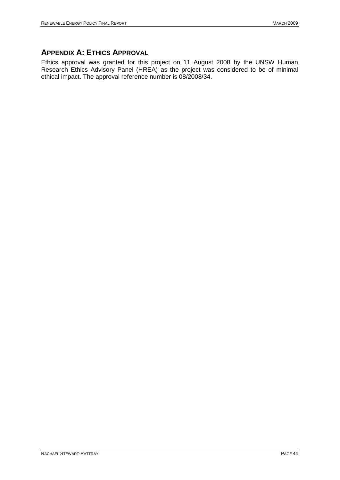## <span id="page-43-0"></span>**APPENDIX A: ETHICS APPROVAL**

Ethics approval was granted for this project on 11 August 2008 by the UNSW Human Research Ethics Advisory Panel (HREA) as the project was considered to be of minimal ethical impact. The approval reference number is 08/2008/34.